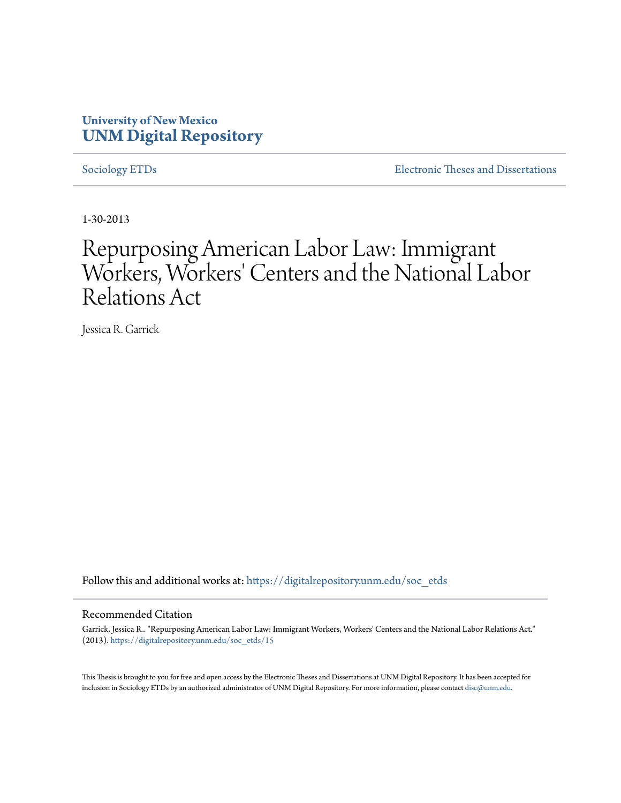# **University of New Mexico [UNM Digital Repository](https://digitalrepository.unm.edu?utm_source=digitalrepository.unm.edu%2Fsoc_etds%2F15&utm_medium=PDF&utm_campaign=PDFCoverPages)**

[Sociology ETDs](https://digitalrepository.unm.edu/soc_etds?utm_source=digitalrepository.unm.edu%2Fsoc_etds%2F15&utm_medium=PDF&utm_campaign=PDFCoverPages) [Electronic Theses and Dissertations](https://digitalrepository.unm.edu/etds?utm_source=digitalrepository.unm.edu%2Fsoc_etds%2F15&utm_medium=PDF&utm_campaign=PDFCoverPages)

1-30-2013

# Repurposing American Labor Law: Immigrant Workers, Workers' Centers and the National Labor Relations Act

Jessica R. Garrick

Follow this and additional works at: [https://digitalrepository.unm.edu/soc\\_etds](https://digitalrepository.unm.edu/soc_etds?utm_source=digitalrepository.unm.edu%2Fsoc_etds%2F15&utm_medium=PDF&utm_campaign=PDFCoverPages)

#### Recommended Citation

Garrick, Jessica R.. "Repurposing American Labor Law: Immigrant Workers, Workers' Centers and the National Labor Relations Act." (2013). [https://digitalrepository.unm.edu/soc\\_etds/15](https://digitalrepository.unm.edu/soc_etds/15?utm_source=digitalrepository.unm.edu%2Fsoc_etds%2F15&utm_medium=PDF&utm_campaign=PDFCoverPages)

This Thesis is brought to you for free and open access by the Electronic Theses and Dissertations at UNM Digital Repository. It has been accepted for inclusion in Sociology ETDs by an authorized administrator of UNM Digital Repository. For more information, please contact [disc@unm.edu.](mailto:disc@unm.edu)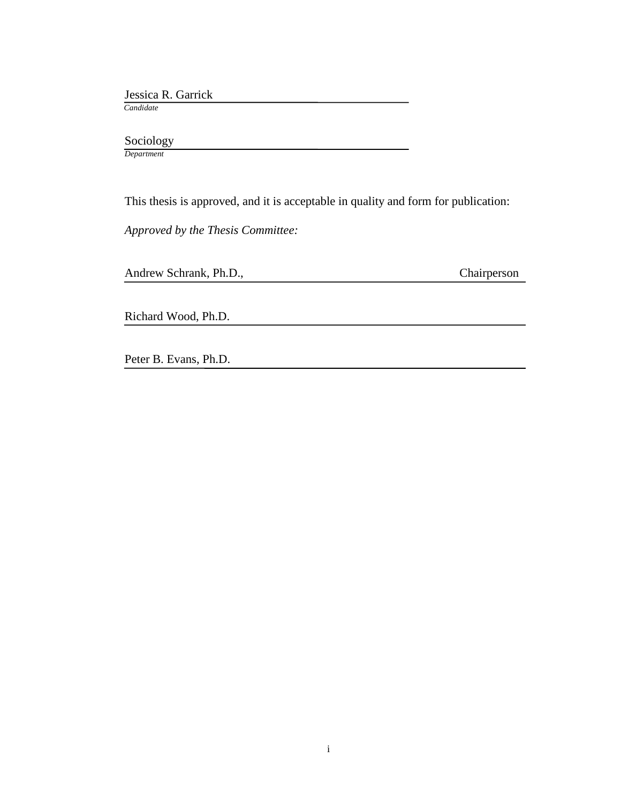Jessica R. Garrick

 *Candidate*

Sociology

*Department*

This thesis is approved, and it is acceptable in quality and form for publication:

*Approved by the Thesis Committee:*

Andrew Schrank, Ph.D., Chairperson

Richard Wood, Ph.D.

Peter B. Evans, Ph.D.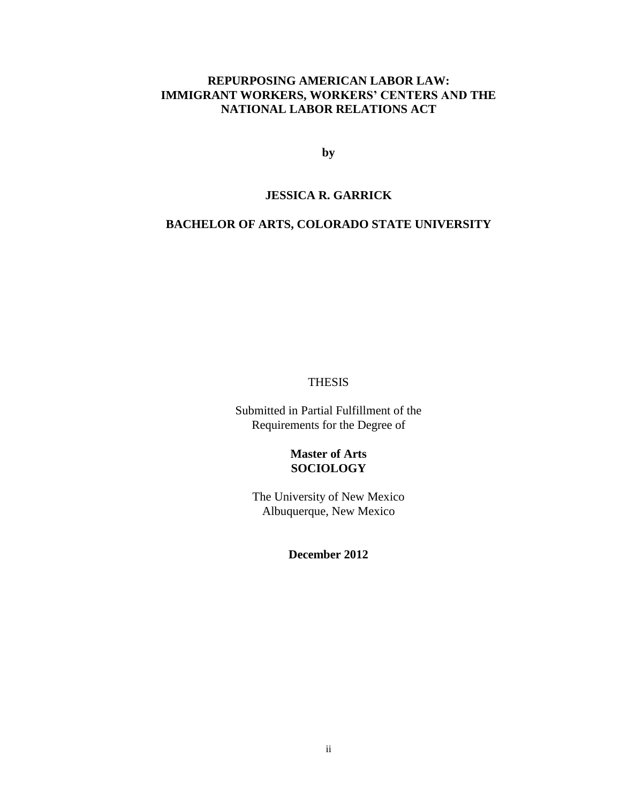# **REPURPOSING AMERICAN LABOR LAW: IMMIGRANT WORKERS, WORKERS' CENTERS AND THE NATIONAL LABOR RELATIONS ACT**

**by**

#### **JESSICA R. GARRICK**

# **BACHELOR OF ARTS, COLORADO STATE UNIVERSITY**

#### THESIS

Submitted in Partial Fulfillment of the Requirements for the Degree of

# **Master of Arts SOCIOLOGY**

The University of New Mexico Albuquerque, New Mexico

# **December 2012**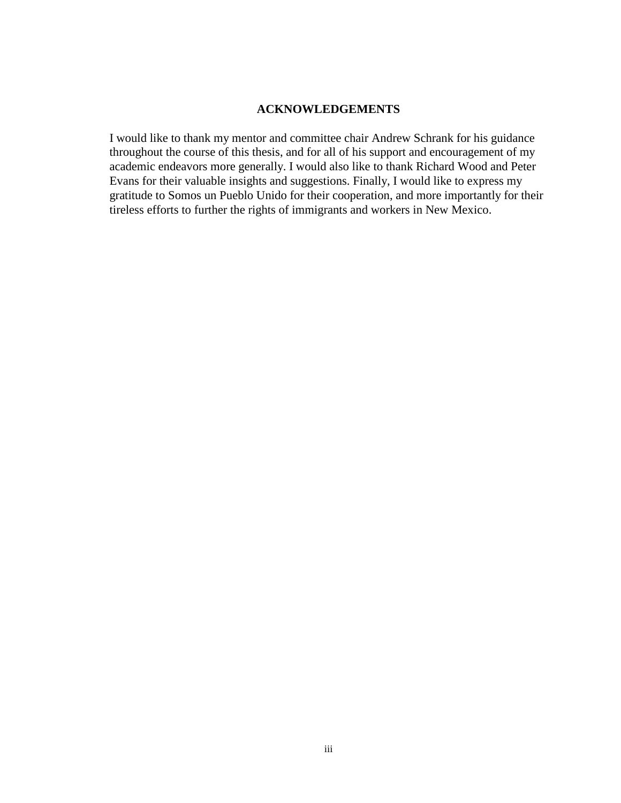#### **ACKNOWLEDGEMENTS**

I would like to thank my mentor and committee chair Andrew Schrank for his guidance throughout the course of this thesis, and for all of his support and encouragement of my academic endeavors more generally. I would also like to thank Richard Wood and Peter Evans for their valuable insights and suggestions. Finally, I would like to express my gratitude to Somos un Pueblo Unido for their cooperation, and more importantly for their tireless efforts to further the rights of immigrants and workers in New Mexico.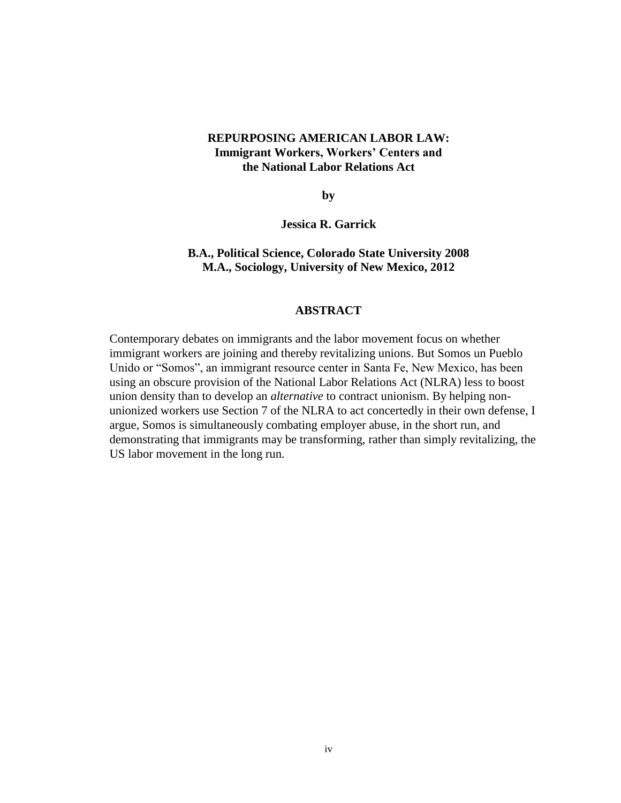# **REPURPOSING AMERICAN LABOR LAW: Immigrant Workers, Workers' Centers and the National Labor Relations Act**

**by**

**Jessica R. Garrick**

## **B.A., Political Science, Colorado State University 2008 M.A., Sociology, University of New Mexico, 2012**

#### **ABSTRACT**

Contemporary debates on immigrants and the labor movement focus on whether immigrant workers are joining and thereby revitalizing unions. But Somos un Pueblo Unido or "Somos", an immigrant resource center in Santa Fe, New Mexico, has been using an obscure provision of the National Labor Relations Act (NLRA) less to boost union density than to develop an *alternative* to contract unionism. By helping nonunionized workers use Section 7 of the NLRA to act concertedly in their own defense, I argue, Somos is simultaneously combating employer abuse, in the short run, and demonstrating that immigrants may be transforming, rather than simply revitalizing, the US labor movement in the long run.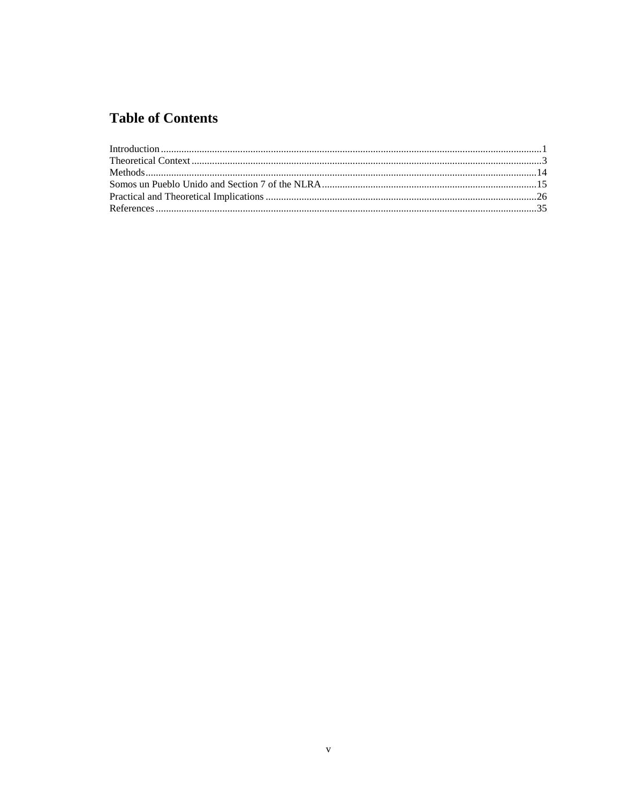# **Table of Contents**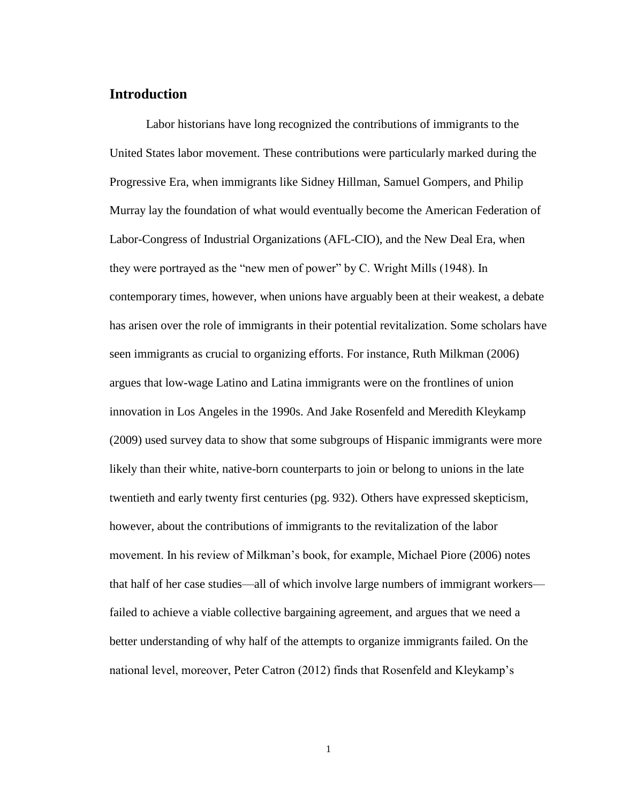## <span id="page-6-0"></span>**Introduction**

Labor historians have long recognized the contributions of immigrants to the United States labor movement. These contributions were particularly marked during the Progressive Era, when immigrants like Sidney Hillman, Samuel Gompers, and Philip Murray lay the foundation of what would eventually become the American Federation of Labor-Congress of Industrial Organizations (AFL-CIO), and the New Deal Era, when they were portrayed as the "new men of power" by C. Wright Mills (1948). In contemporary times, however, when unions have arguably been at their weakest, a debate has arisen over the role of immigrants in their potential revitalization. Some scholars have seen immigrants as crucial to organizing efforts. For instance, Ruth Milkman (2006) argues that low-wage Latino and Latina immigrants were on the frontlines of union innovation in Los Angeles in the 1990s. And Jake Rosenfeld and Meredith Kleykamp (2009) used survey data to show that some subgroups of Hispanic immigrants were more likely than their white, native-born counterparts to join or belong to unions in the late twentieth and early twenty first centuries (pg. 932). Others have expressed skepticism, however, about the contributions of immigrants to the revitalization of the labor movement. In his review of Milkman's book, for example, Michael Piore (2006) notes that half of her case studies—all of which involve large numbers of immigrant workers failed to achieve a viable collective bargaining agreement, and argues that we need a better understanding of why half of the attempts to organize immigrants failed. On the national level, moreover, Peter Catron (2012) finds that Rosenfeld and Kleykamp's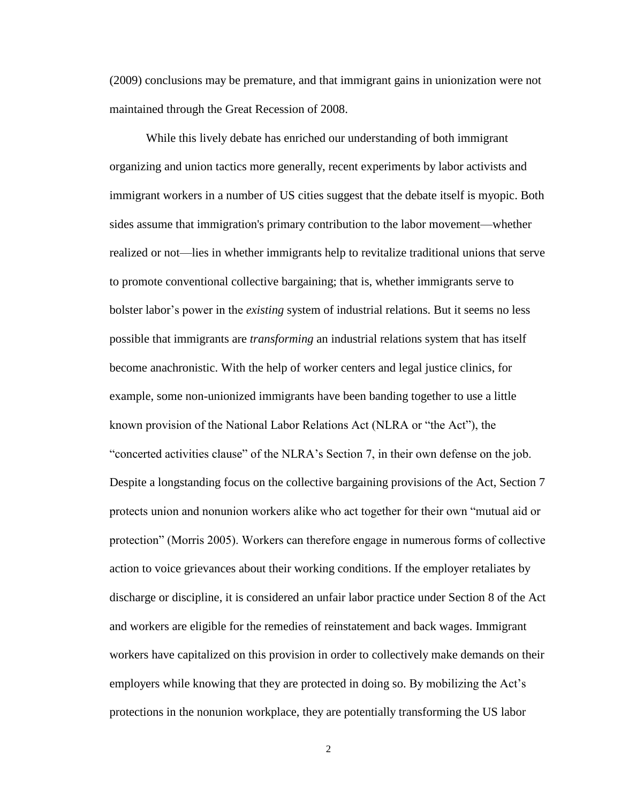(2009) conclusions may be premature, and that immigrant gains in unionization were not maintained through the Great Recession of 2008.

While this lively debate has enriched our understanding of both immigrant organizing and union tactics more generally, recent experiments by labor activists and immigrant workers in a number of US cities suggest that the debate itself is myopic. Both sides assume that immigration's primary contribution to the labor movement—whether realized or not—lies in whether immigrants help to revitalize traditional unions that serve to promote conventional collective bargaining; that is, whether immigrants serve to bolster labor's power in the *existing* system of industrial relations. But it seems no less possible that immigrants are *transforming* an industrial relations system that has itself become anachronistic. With the help of worker centers and legal justice clinics, for example, some non-unionized immigrants have been banding together to use a little known provision of the National Labor Relations Act (NLRA or "the Act"), the "concerted activities clause" of the NLRA's Section 7, in their own defense on the job. Despite a longstanding focus on the collective bargaining provisions of the Act, Section 7 protects union and nonunion workers alike who act together for their own "mutual aid or protection" (Morris 2005). Workers can therefore engage in numerous forms of collective action to voice grievances about their working conditions. If the employer retaliates by discharge or discipline, it is considered an unfair labor practice under Section 8 of the Act and workers are eligible for the remedies of reinstatement and back wages. Immigrant workers have capitalized on this provision in order to collectively make demands on their employers while knowing that they are protected in doing so. By mobilizing the Act's protections in the nonunion workplace, they are potentially transforming the US labor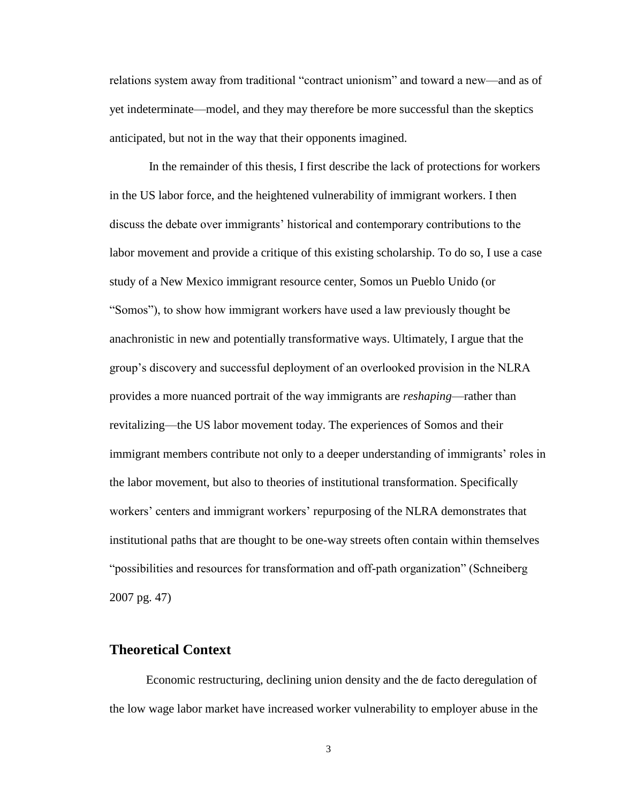relations system away from traditional "contract unionism" and toward a new—and as of yet indeterminate—model, and they may therefore be more successful than the skeptics anticipated, but not in the way that their opponents imagined.

In the remainder of this thesis, I first describe the lack of protections for workers in the US labor force, and the heightened vulnerability of immigrant workers. I then discuss the debate over immigrants' historical and contemporary contributions to the labor movement and provide a critique of this existing scholarship. To do so, I use a case study of a New Mexico immigrant resource center, Somos un Pueblo Unido (or "Somos"), to show how immigrant workers have used a law previously thought be anachronistic in new and potentially transformative ways. Ultimately, I argue that the group's discovery and successful deployment of an overlooked provision in the NLRA provides a more nuanced portrait of the way immigrants are *reshaping*—rather than revitalizing—the US labor movement today. The experiences of Somos and their immigrant members contribute not only to a deeper understanding of immigrants' roles in the labor movement, but also to theories of institutional transformation. Specifically workers' centers and immigrant workers' repurposing of the NLRA demonstrates that institutional paths that are thought to be one-way streets often contain within themselves "possibilities and resources for transformation and off-path organization" (Schneiberg 2007 pg. 47)

# <span id="page-8-0"></span>**Theoretical Context**

Economic restructuring, declining union density and the de facto deregulation of the low wage labor market have increased worker vulnerability to employer abuse in the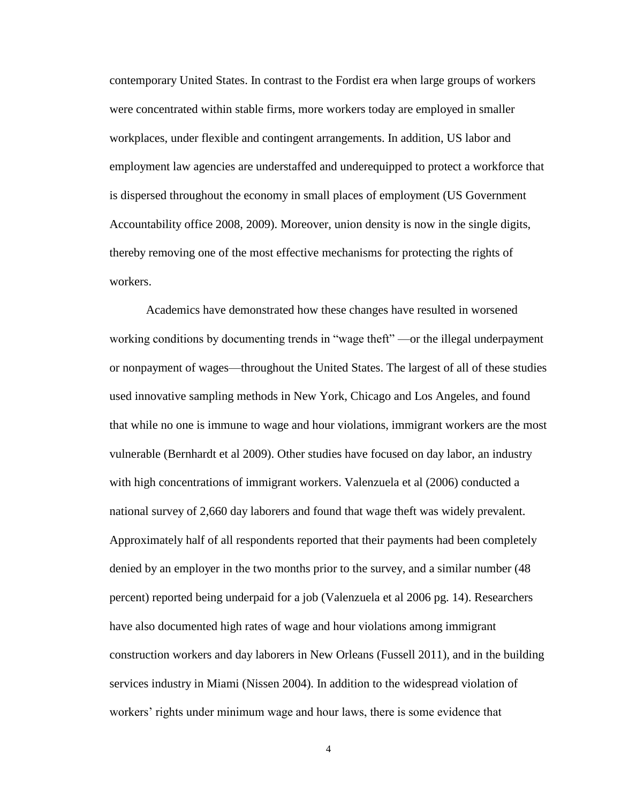contemporary United States. In contrast to the Fordist era when large groups of workers were concentrated within stable firms, more workers today are employed in smaller workplaces, under flexible and contingent arrangements. In addition, US labor and employment law agencies are understaffed and underequipped to protect a workforce that is dispersed throughout the economy in small places of employment (US Government Accountability office 2008, 2009). Moreover, union density is now in the single digits, thereby removing one of the most effective mechanisms for protecting the rights of workers.

Academics have demonstrated how these changes have resulted in worsened working conditions by documenting trends in "wage theft" —or the illegal underpayment or nonpayment of wages—throughout the United States. The largest of all of these studies used innovative sampling methods in New York, Chicago and Los Angeles, and found that while no one is immune to wage and hour violations, immigrant workers are the most vulnerable (Bernhardt et al 2009). Other studies have focused on day labor, an industry with high concentrations of immigrant workers. Valenzuela et al (2006) conducted a national survey of 2,660 day laborers and found that wage theft was widely prevalent. Approximately half of all respondents reported that their payments had been completely denied by an employer in the two months prior to the survey, and a similar number (48 percent) reported being underpaid for a job (Valenzuela et al 2006 pg. 14). Researchers have also documented high rates of wage and hour violations among immigrant construction workers and day laborers in New Orleans (Fussell 2011), and in the building services industry in Miami (Nissen 2004). In addition to the widespread violation of workers' rights under minimum wage and hour laws, there is some evidence that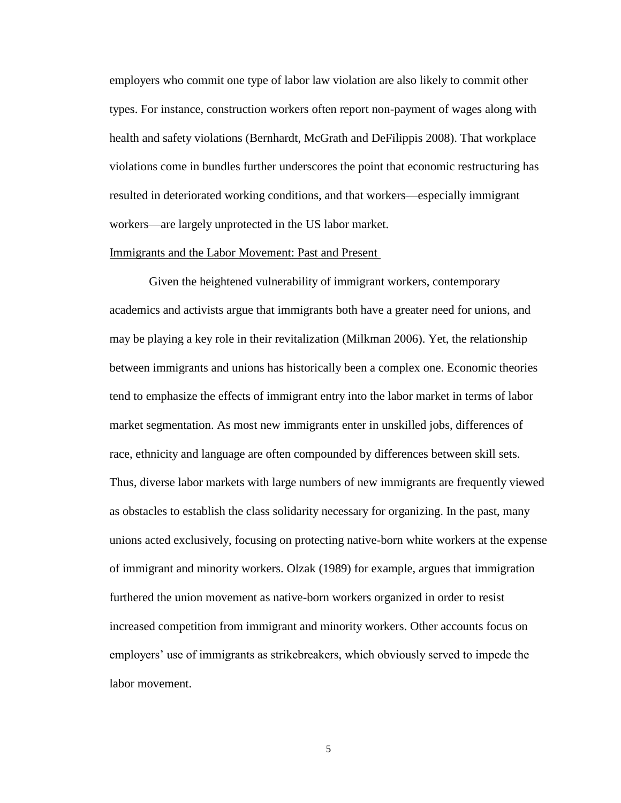employers who commit one type of labor law violation are also likely to commit other types. For instance, construction workers often report non-payment of wages along with health and safety violations (Bernhardt, McGrath and DeFilippis 2008). That workplace violations come in bundles further underscores the point that economic restructuring has resulted in deteriorated working conditions, and that workers—especially immigrant workers—are largely unprotected in the US labor market.

#### Immigrants and the Labor Movement: Past and Present

Given the heightened vulnerability of immigrant workers, contemporary academics and activists argue that immigrants both have a greater need for unions, and may be playing a key role in their revitalization (Milkman 2006). Yet, the relationship between immigrants and unions has historically been a complex one. Economic theories tend to emphasize the effects of immigrant entry into the labor market in terms of labor market segmentation. As most new immigrants enter in unskilled jobs, differences of race, ethnicity and language are often compounded by differences between skill sets. Thus, diverse labor markets with large numbers of new immigrants are frequently viewed as obstacles to establish the class solidarity necessary for organizing. In the past, many unions acted exclusively, focusing on protecting native-born white workers at the expense of immigrant and minority workers. Olzak (1989) for example, argues that immigration furthered the union movement as native-born workers organized in order to resist increased competition from immigrant and minority workers. Other accounts focus on employers' use of immigrants as strikebreakers, which obviously served to impede the labor movement.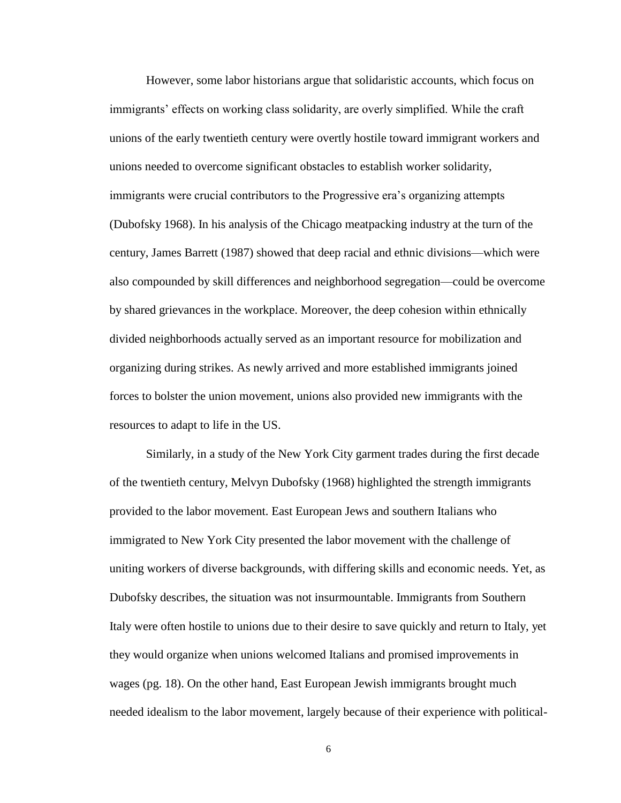However, some labor historians argue that solidaristic accounts, which focus on immigrants' effects on working class solidarity, are overly simplified. While the craft unions of the early twentieth century were overtly hostile toward immigrant workers and unions needed to overcome significant obstacles to establish worker solidarity, immigrants were crucial contributors to the Progressive era's organizing attempts (Dubofsky 1968). In his analysis of the Chicago meatpacking industry at the turn of the century, James Barrett (1987) showed that deep racial and ethnic divisions—which were also compounded by skill differences and neighborhood segregation—could be overcome by shared grievances in the workplace. Moreover, the deep cohesion within ethnically divided neighborhoods actually served as an important resource for mobilization and organizing during strikes. As newly arrived and more established immigrants joined forces to bolster the union movement, unions also provided new immigrants with the resources to adapt to life in the US.

Similarly, in a study of the New York City garment trades during the first decade of the twentieth century, Melvyn Dubofsky (1968) highlighted the strength immigrants provided to the labor movement. East European Jews and southern Italians who immigrated to New York City presented the labor movement with the challenge of uniting workers of diverse backgrounds, with differing skills and economic needs. Yet, as Dubofsky describes, the situation was not insurmountable. Immigrants from Southern Italy were often hostile to unions due to their desire to save quickly and return to Italy, yet they would organize when unions welcomed Italians and promised improvements in wages (pg. 18). On the other hand, East European Jewish immigrants brought much needed idealism to the labor movement, largely because of their experience with political-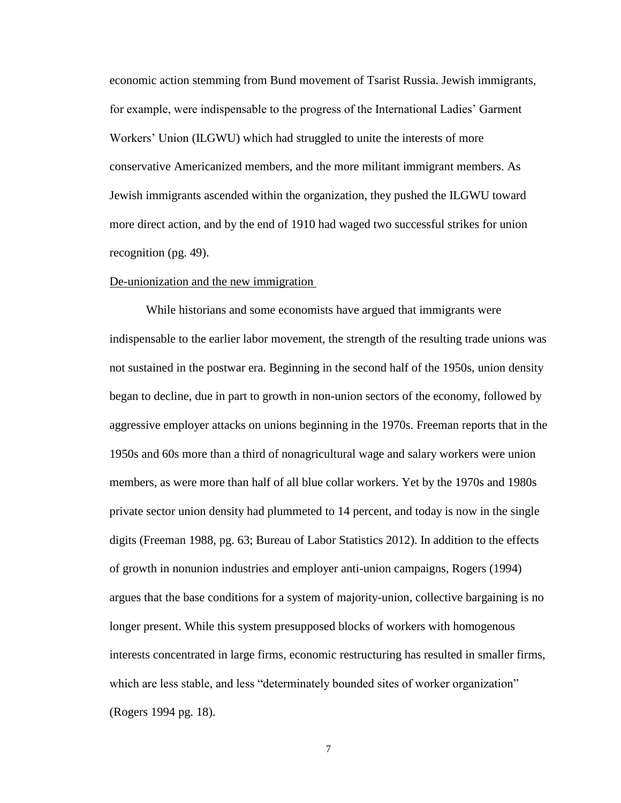economic action stemming from Bund movement of Tsarist Russia. Jewish immigrants, for example, were indispensable to the progress of the International Ladies' Garment Workers' Union (ILGWU) which had struggled to unite the interests of more conservative Americanized members, and the more militant immigrant members. As Jewish immigrants ascended within the organization, they pushed the ILGWU toward more direct action, and by the end of 1910 had waged two successful strikes for union recognition (pg. 49).

#### De-unionization and the new immigration

While historians and some economists have argued that immigrants were indispensable to the earlier labor movement, the strength of the resulting trade unions was not sustained in the postwar era. Beginning in the second half of the 1950s, union density began to decline, due in part to growth in non-union sectors of the economy, followed by aggressive employer attacks on unions beginning in the 1970s. Freeman reports that in the 1950s and 60s more than a third of nonagricultural wage and salary workers were union members, as were more than half of all blue collar workers. Yet by the 1970s and 1980s private sector union density had plummeted to 14 percent, and today is now in the single digits (Freeman 1988, pg. 63; Bureau of Labor Statistics 2012). In addition to the effects of growth in nonunion industries and employer anti-union campaigns, Rogers (1994) argues that the base conditions for a system of majority-union, collective bargaining is no longer present. While this system presupposed blocks of workers with homogenous interests concentrated in large firms, economic restructuring has resulted in smaller firms, which are less stable, and less "determinately bounded sites of worker organization" (Rogers 1994 pg. 18).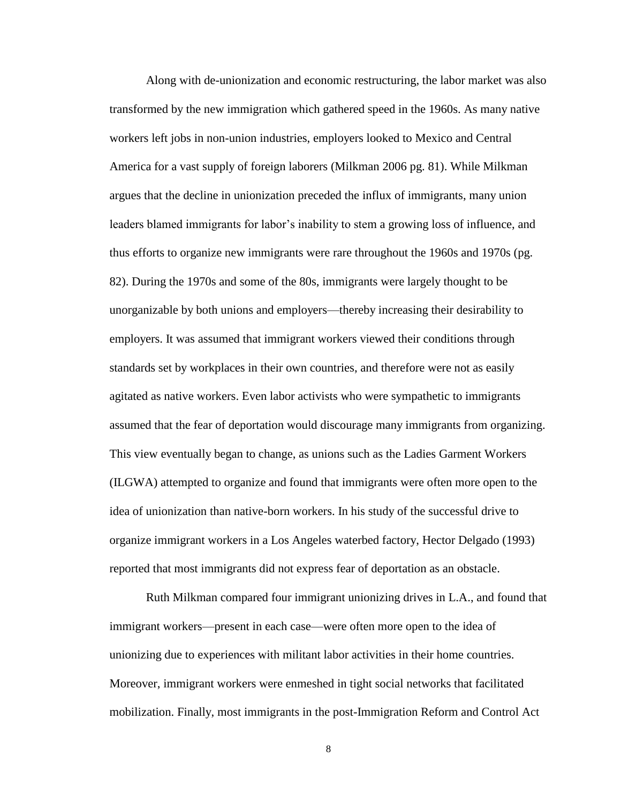Along with de-unionization and economic restructuring, the labor market was also transformed by the new immigration which gathered speed in the 1960s. As many native workers left jobs in non-union industries, employers looked to Mexico and Central America for a vast supply of foreign laborers (Milkman 2006 pg. 81). While Milkman argues that the decline in unionization preceded the influx of immigrants, many union leaders blamed immigrants for labor's inability to stem a growing loss of influence, and thus efforts to organize new immigrants were rare throughout the 1960s and 1970s (pg. 82). During the 1970s and some of the 80s, immigrants were largely thought to be unorganizable by both unions and employers—thereby increasing their desirability to employers. It was assumed that immigrant workers viewed their conditions through standards set by workplaces in their own countries, and therefore were not as easily agitated as native workers. Even labor activists who were sympathetic to immigrants assumed that the fear of deportation would discourage many immigrants from organizing. This view eventually began to change, as unions such as the Ladies Garment Workers (ILGWA) attempted to organize and found that immigrants were often more open to the idea of unionization than native-born workers. In his study of the successful drive to organize immigrant workers in a Los Angeles waterbed factory, Hector Delgado (1993) reported that most immigrants did not express fear of deportation as an obstacle.

Ruth Milkman compared four immigrant unionizing drives in L.A., and found that immigrant workers—present in each case—were often more open to the idea of unionizing due to experiences with militant labor activities in their home countries. Moreover, immigrant workers were enmeshed in tight social networks that facilitated mobilization. Finally, most immigrants in the post-Immigration Reform and Control Act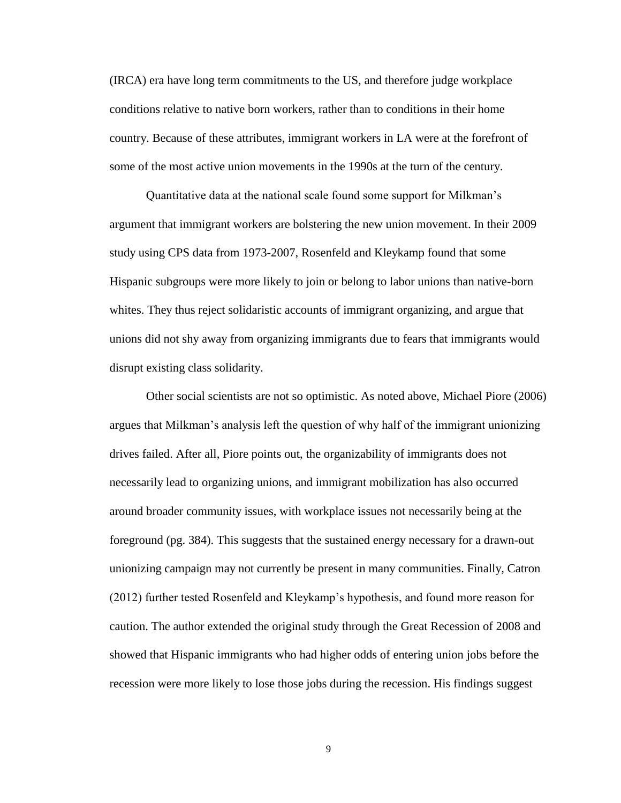(IRCA) era have long term commitments to the US, and therefore judge workplace conditions relative to native born workers, rather than to conditions in their home country. Because of these attributes, immigrant workers in LA were at the forefront of some of the most active union movements in the 1990s at the turn of the century.

Quantitative data at the national scale found some support for Milkman's argument that immigrant workers are bolstering the new union movement. In their 2009 study using CPS data from 1973-2007, Rosenfeld and Kleykamp found that some Hispanic subgroups were more likely to join or belong to labor unions than native-born whites. They thus reject solidaristic accounts of immigrant organizing, and argue that unions did not shy away from organizing immigrants due to fears that immigrants would disrupt existing class solidarity.

Other social scientists are not so optimistic. As noted above, Michael Piore (2006) argues that Milkman's analysis left the question of why half of the immigrant unionizing drives failed. After all, Piore points out, the organizability of immigrants does not necessarily lead to organizing unions, and immigrant mobilization has also occurred around broader community issues, with workplace issues not necessarily being at the foreground (pg. 384). This suggests that the sustained energy necessary for a drawn-out unionizing campaign may not currently be present in many communities. Finally, Catron (2012) further tested Rosenfeld and Kleykamp's hypothesis, and found more reason for caution. The author extended the original study through the Great Recession of 2008 and showed that Hispanic immigrants who had higher odds of entering union jobs before the recession were more likely to lose those jobs during the recession. His findings suggest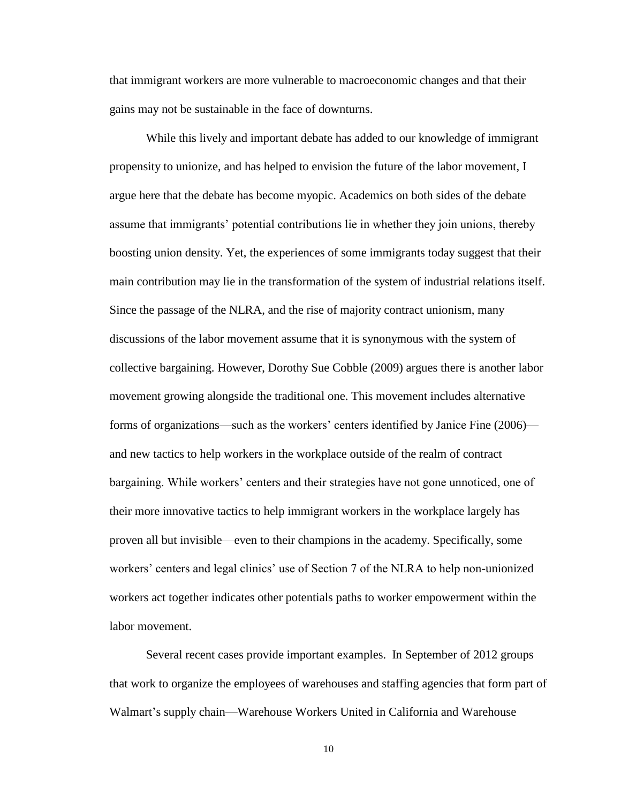that immigrant workers are more vulnerable to macroeconomic changes and that their gains may not be sustainable in the face of downturns.

While this lively and important debate has added to our knowledge of immigrant propensity to unionize, and has helped to envision the future of the labor movement, I argue here that the debate has become myopic. Academics on both sides of the debate assume that immigrants' potential contributions lie in whether they join unions, thereby boosting union density. Yet, the experiences of some immigrants today suggest that their main contribution may lie in the transformation of the system of industrial relations itself. Since the passage of the NLRA, and the rise of majority contract unionism, many discussions of the labor movement assume that it is synonymous with the system of collective bargaining. However, Dorothy Sue Cobble (2009) argues there is another labor movement growing alongside the traditional one. This movement includes alternative forms of organizations—such as the workers' centers identified by Janice Fine (2006) and new tactics to help workers in the workplace outside of the realm of contract bargaining. While workers' centers and their strategies have not gone unnoticed, one of their more innovative tactics to help immigrant workers in the workplace largely has proven all but invisible—even to their champions in the academy. Specifically, some workers' centers and legal clinics' use of Section 7 of the NLRA to help non-unionized workers act together indicates other potentials paths to worker empowerment within the labor movement.

Several recent cases provide important examples. In September of 2012 groups that work to organize the employees of warehouses and staffing agencies that form part of Walmart's supply chain—Warehouse Workers United in California and Warehouse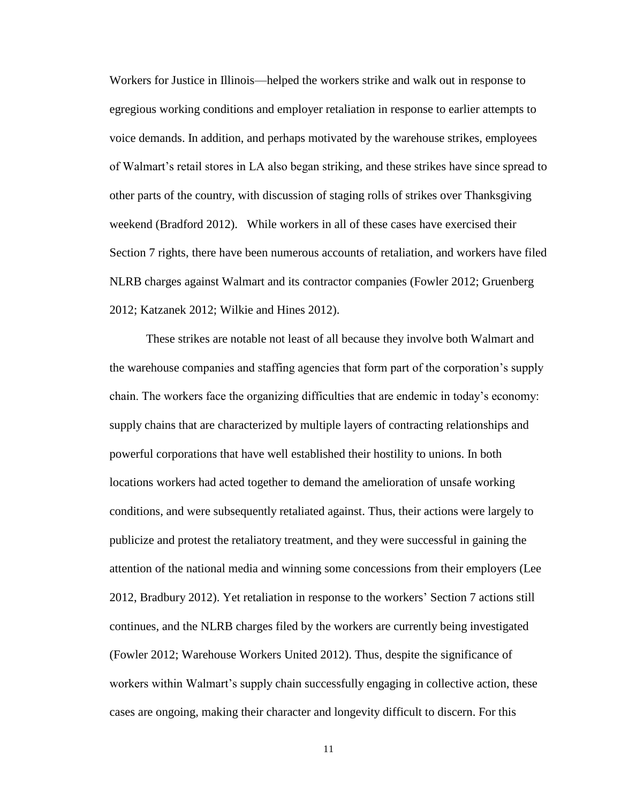Workers for Justice in Illinois—helped the workers strike and walk out in response to egregious working conditions and employer retaliation in response to earlier attempts to voice demands. In addition, and perhaps motivated by the warehouse strikes, employees of Walmart's retail stores in LA also began striking, and these strikes have since spread to other parts of the country, with discussion of staging rolls of strikes over Thanksgiving weekend (Bradford 2012). While workers in all of these cases have exercised their Section 7 rights, there have been numerous accounts of retaliation, and workers have filed NLRB charges against Walmart and its contractor companies (Fowler 2012; Gruenberg 2012; Katzanek 2012; Wilkie and Hines 2012).

These strikes are notable not least of all because they involve both Walmart and the warehouse companies and staffing agencies that form part of the corporation's supply chain. The workers face the organizing difficulties that are endemic in today's economy: supply chains that are characterized by multiple layers of contracting relationships and powerful corporations that have well established their hostility to unions. In both locations workers had acted together to demand the amelioration of unsafe working conditions, and were subsequently retaliated against. Thus, their actions were largely to publicize and protest the retaliatory treatment, and they were successful in gaining the attention of the national media and winning some concessions from their employers (Lee 2012, Bradbury 2012). Yet retaliation in response to the workers' Section 7 actions still continues, and the NLRB charges filed by the workers are currently being investigated (Fowler 2012; Warehouse Workers United 2012). Thus, despite the significance of workers within Walmart's supply chain successfully engaging in collective action, these cases are ongoing, making their character and longevity difficult to discern. For this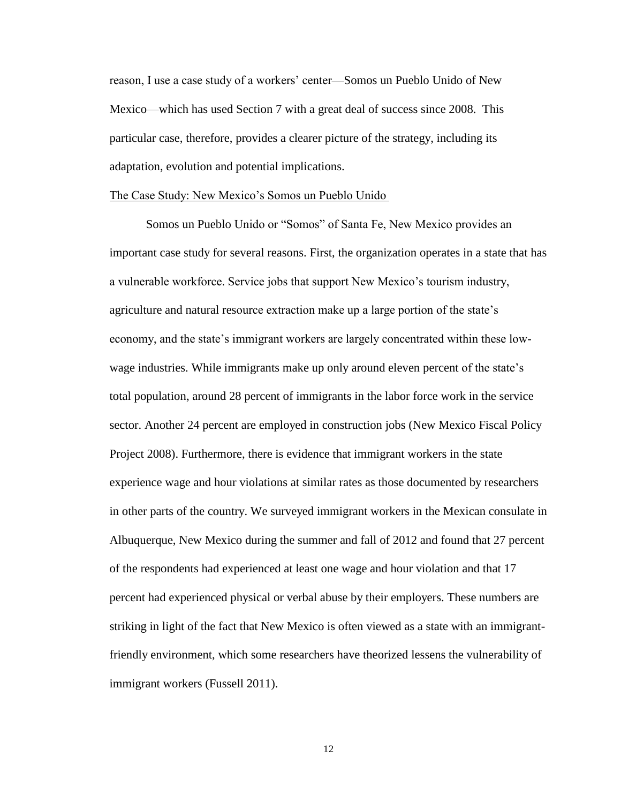reason, I use a case study of a workers' center—Somos un Pueblo Unido of New Mexico—which has used Section 7 with a great deal of success since 2008. This particular case, therefore, provides a clearer picture of the strategy, including its adaptation, evolution and potential implications.

#### The Case Study: New Mexico's Somos un Pueblo Unido

Somos un Pueblo Unido or "Somos" of Santa Fe, New Mexico provides an important case study for several reasons. First, the organization operates in a state that has a vulnerable workforce. Service jobs that support New Mexico's tourism industry, agriculture and natural resource extraction make up a large portion of the state's economy, and the state's immigrant workers are largely concentrated within these lowwage industries. While immigrants make up only around eleven percent of the state's total population, around 28 percent of immigrants in the labor force work in the service sector. Another 24 percent are employed in construction jobs (New Mexico Fiscal Policy Project 2008). Furthermore, there is evidence that immigrant workers in the state experience wage and hour violations at similar rates as those documented by researchers in other parts of the country. We surveyed immigrant workers in the Mexican consulate in Albuquerque, New Mexico during the summer and fall of 2012 and found that 27 percent of the respondents had experienced at least one wage and hour violation and that 17 percent had experienced physical or verbal abuse by their employers. These numbers are striking in light of the fact that New Mexico is often viewed as a state with an immigrantfriendly environment, which some researchers have theorized lessens the vulnerability of immigrant workers (Fussell 2011).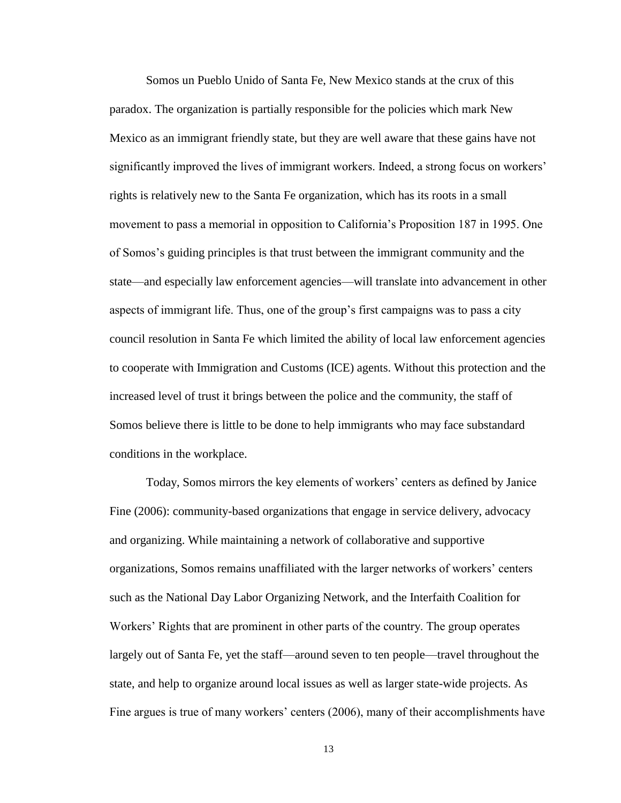Somos un Pueblo Unido of Santa Fe, New Mexico stands at the crux of this paradox. The organization is partially responsible for the policies which mark New Mexico as an immigrant friendly state, but they are well aware that these gains have not significantly improved the lives of immigrant workers. Indeed, a strong focus on workers' rights is relatively new to the Santa Fe organization, which has its roots in a small movement to pass a memorial in opposition to California's Proposition 187 in 1995. One of Somos's guiding principles is that trust between the immigrant community and the state—and especially law enforcement agencies—will translate into advancement in other aspects of immigrant life. Thus, one of the group's first campaigns was to pass a city council resolution in Santa Fe which limited the ability of local law enforcement agencies to cooperate with Immigration and Customs (ICE) agents. Without this protection and the increased level of trust it brings between the police and the community, the staff of Somos believe there is little to be done to help immigrants who may face substandard conditions in the workplace.

Today, Somos mirrors the key elements of workers' centers as defined by Janice Fine (2006): community-based organizations that engage in service delivery, advocacy and organizing. While maintaining a network of collaborative and supportive organizations, Somos remains unaffiliated with the larger networks of workers' centers such as the National Day Labor Organizing Network, and the Interfaith Coalition for Workers' Rights that are prominent in other parts of the country. The group operates largely out of Santa Fe, yet the staff—around seven to ten people—travel throughout the state, and help to organize around local issues as well as larger state-wide projects. As Fine argues is true of many workers' centers (2006), many of their accomplishments have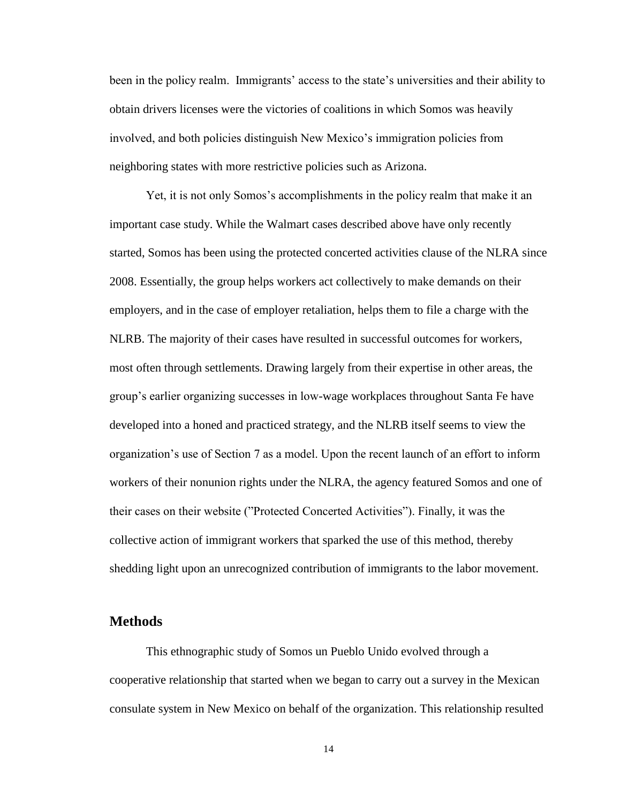been in the policy realm. Immigrants' access to the state's universities and their ability to obtain drivers licenses were the victories of coalitions in which Somos was heavily involved, and both policies distinguish New Mexico's immigration policies from neighboring states with more restrictive policies such as Arizona.

Yet, it is not only Somos's accomplishments in the policy realm that make it an important case study. While the Walmart cases described above have only recently started, Somos has been using the protected concerted activities clause of the NLRA since 2008. Essentially, the group helps workers act collectively to make demands on their employers, and in the case of employer retaliation, helps them to file a charge with the NLRB. The majority of their cases have resulted in successful outcomes for workers, most often through settlements. Drawing largely from their expertise in other areas, the group's earlier organizing successes in low-wage workplaces throughout Santa Fe have developed into a honed and practiced strategy, and the NLRB itself seems to view the organization's use of Section 7 as a model. Upon the recent launch of an effort to inform workers of their nonunion rights under the NLRA, the agency featured Somos and one of their cases on their website ("Protected Concerted Activities"). Finally, it was the collective action of immigrant workers that sparked the use of this method, thereby shedding light upon an unrecognized contribution of immigrants to the labor movement.

# <span id="page-19-0"></span>**Methods**

This ethnographic study of Somos un Pueblo Unido evolved through a cooperative relationship that started when we began to carry out a survey in the Mexican consulate system in New Mexico on behalf of the organization. This relationship resulted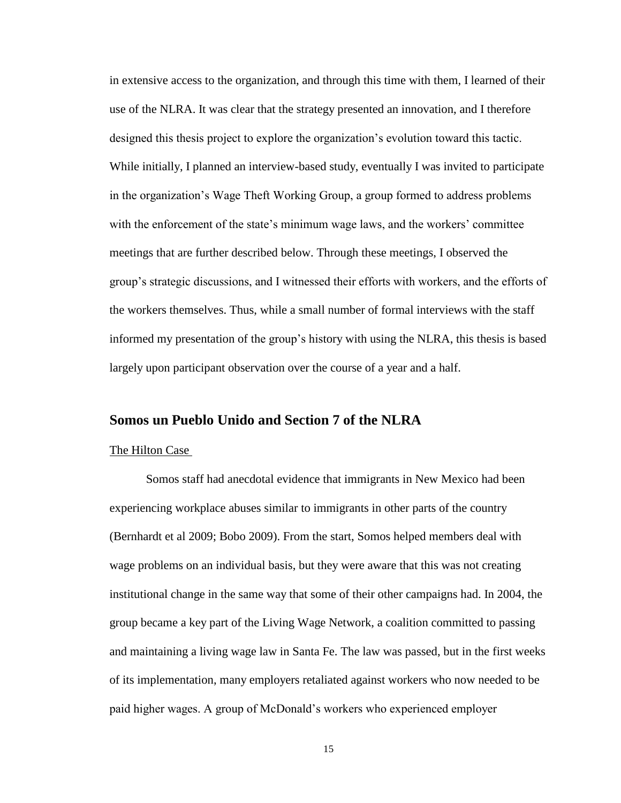in extensive access to the organization, and through this time with them, I learned of their use of the NLRA. It was clear that the strategy presented an innovation, and I therefore designed this thesis project to explore the organization's evolution toward this tactic. While initially, I planned an interview-based study, eventually I was invited to participate in the organization's Wage Theft Working Group, a group formed to address problems with the enforcement of the state's minimum wage laws, and the workers' committee meetings that are further described below. Through these meetings, I observed the group's strategic discussions, and I witnessed their efforts with workers, and the efforts of the workers themselves. Thus, while a small number of formal interviews with the staff informed my presentation of the group's history with using the NLRA, this thesis is based largely upon participant observation over the course of a year and a half.

## <span id="page-20-0"></span>**Somos un Pueblo Unido and Section 7 of the NLRA**

#### The Hilton Case

Somos staff had anecdotal evidence that immigrants in New Mexico had been experiencing workplace abuses similar to immigrants in other parts of the country (Bernhardt et al 2009; Bobo 2009). From the start, Somos helped members deal with wage problems on an individual basis, but they were aware that this was not creating institutional change in the same way that some of their other campaigns had. In 2004, the group became a key part of the Living Wage Network, a coalition committed to passing and maintaining a living wage law in Santa Fe. The law was passed, but in the first weeks of its implementation, many employers retaliated against workers who now needed to be paid higher wages. A group of McDonald's workers who experienced employer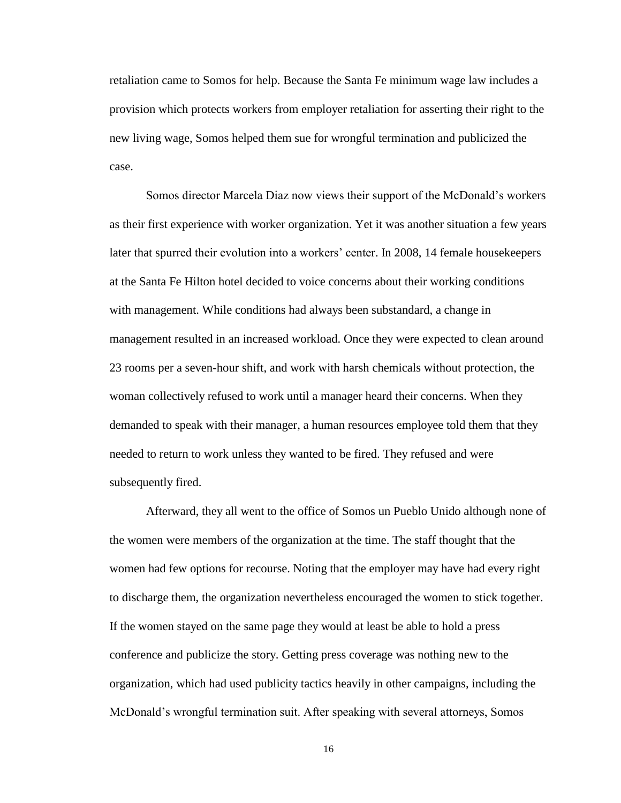retaliation came to Somos for help. Because the Santa Fe minimum wage law includes a provision which protects workers from employer retaliation for asserting their right to the new living wage, Somos helped them sue for wrongful termination and publicized the case.

Somos director Marcela Diaz now views their support of the McDonald's workers as their first experience with worker organization. Yet it was another situation a few years later that spurred their evolution into a workers' center. In 2008, 14 female housekeepers at the Santa Fe Hilton hotel decided to voice concerns about their working conditions with management. While conditions had always been substandard, a change in management resulted in an increased workload. Once they were expected to clean around 23 rooms per a seven-hour shift, and work with harsh chemicals without protection, the woman collectively refused to work until a manager heard their concerns. When they demanded to speak with their manager, a human resources employee told them that they needed to return to work unless they wanted to be fired. They refused and were subsequently fired.

Afterward, they all went to the office of Somos un Pueblo Unido although none of the women were members of the organization at the time. The staff thought that the women had few options for recourse. Noting that the employer may have had every right to discharge them, the organization nevertheless encouraged the women to stick together. If the women stayed on the same page they would at least be able to hold a press conference and publicize the story. Getting press coverage was nothing new to the organization, which had used publicity tactics heavily in other campaigns, including the McDonald's wrongful termination suit. After speaking with several attorneys, Somos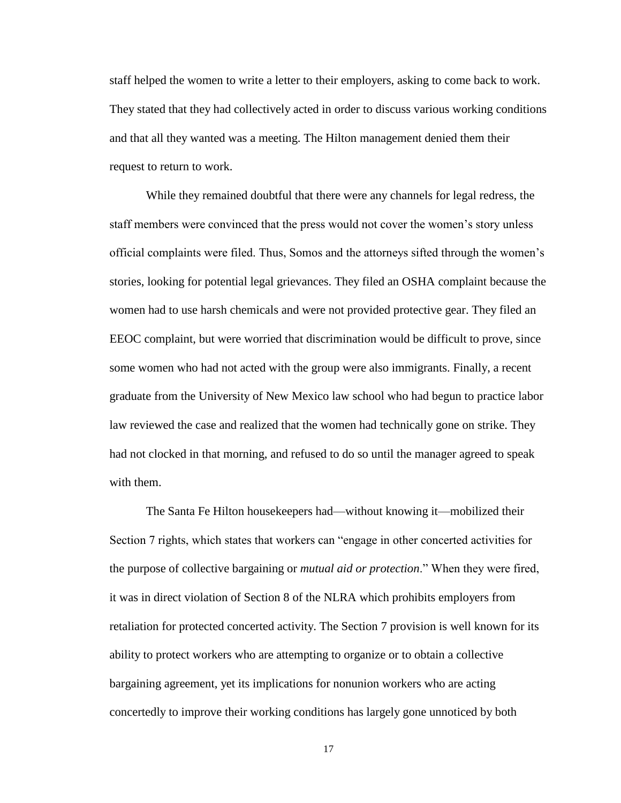staff helped the women to write a letter to their employers, asking to come back to work. They stated that they had collectively acted in order to discuss various working conditions and that all they wanted was a meeting. The Hilton management denied them their request to return to work.

While they remained doubtful that there were any channels for legal redress, the staff members were convinced that the press would not cover the women's story unless official complaints were filed. Thus, Somos and the attorneys sifted through the women's stories, looking for potential legal grievances. They filed an OSHA complaint because the women had to use harsh chemicals and were not provided protective gear. They filed an EEOC complaint, but were worried that discrimination would be difficult to prove, since some women who had not acted with the group were also immigrants. Finally, a recent graduate from the University of New Mexico law school who had begun to practice labor law reviewed the case and realized that the women had technically gone on strike. They had not clocked in that morning, and refused to do so until the manager agreed to speak with them.

The Santa Fe Hilton housekeepers had—without knowing it—mobilized their Section 7 rights, which states that workers can "engage in other concerted activities for the purpose of collective bargaining or *mutual aid or protection*." When they were fired, it was in direct violation of Section 8 of the NLRA which prohibits employers from retaliation for protected concerted activity. The Section 7 provision is well known for its ability to protect workers who are attempting to organize or to obtain a collective bargaining agreement, yet its implications for nonunion workers who are acting concertedly to improve their working conditions has largely gone unnoticed by both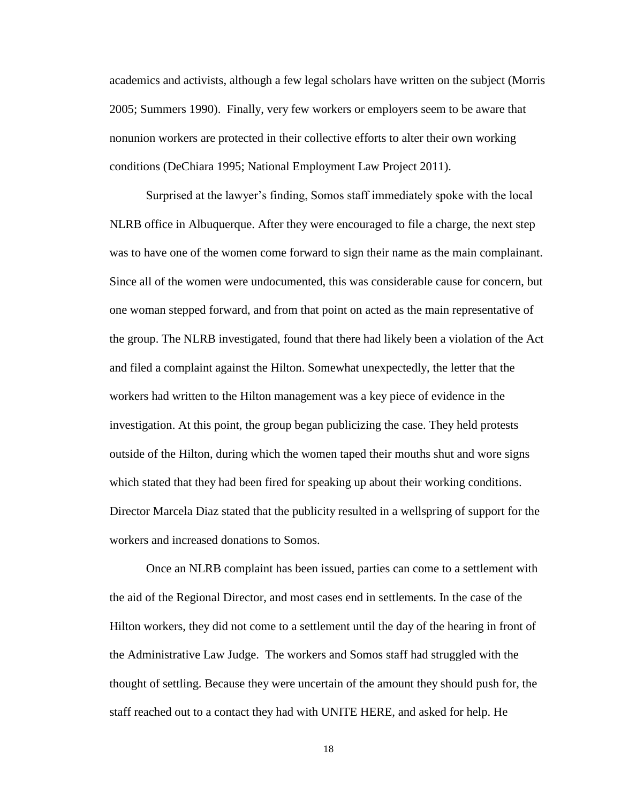academics and activists, although a few legal scholars have written on the subject (Morris 2005; Summers 1990). Finally, very few workers or employers seem to be aware that nonunion workers are protected in their collective efforts to alter their own working conditions (DeChiara 1995; National Employment Law Project 2011).

Surprised at the lawyer's finding, Somos staff immediately spoke with the local NLRB office in Albuquerque. After they were encouraged to file a charge, the next step was to have one of the women come forward to sign their name as the main complainant. Since all of the women were undocumented, this was considerable cause for concern, but one woman stepped forward, and from that point on acted as the main representative of the group. The NLRB investigated, found that there had likely been a violation of the Act and filed a complaint against the Hilton. Somewhat unexpectedly, the letter that the workers had written to the Hilton management was a key piece of evidence in the investigation. At this point, the group began publicizing the case. They held protests outside of the Hilton, during which the women taped their mouths shut and wore signs which stated that they had been fired for speaking up about their working conditions. Director Marcela Diaz stated that the publicity resulted in a wellspring of support for the workers and increased donations to Somos.

Once an NLRB complaint has been issued, parties can come to a settlement with the aid of the Regional Director, and most cases end in settlements. In the case of the Hilton workers, they did not come to a settlement until the day of the hearing in front of the Administrative Law Judge. The workers and Somos staff had struggled with the thought of settling. Because they were uncertain of the amount they should push for, the staff reached out to a contact they had with UNITE HERE, and asked for help. He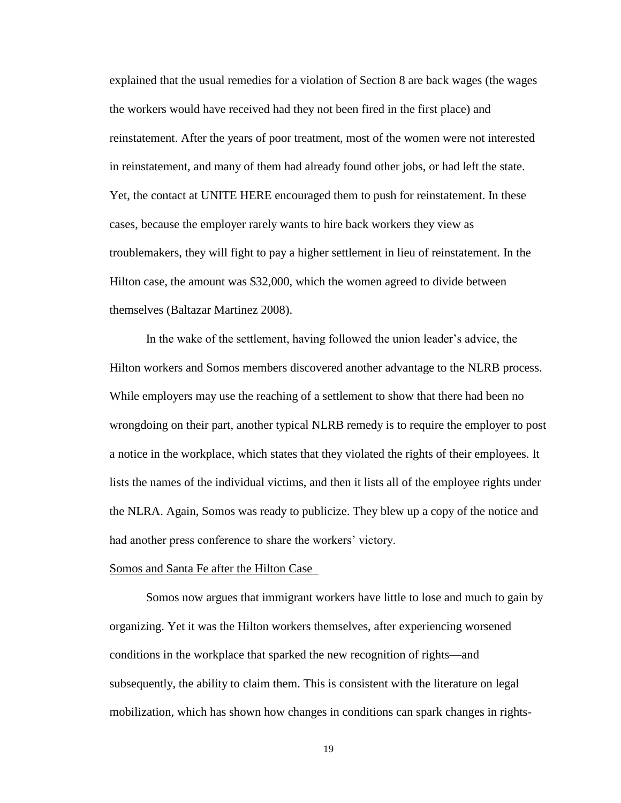explained that the usual remedies for a violation of Section 8 are back wages (the wages the workers would have received had they not been fired in the first place) and reinstatement. After the years of poor treatment, most of the women were not interested in reinstatement, and many of them had already found other jobs, or had left the state. Yet, the contact at UNITE HERE encouraged them to push for reinstatement. In these cases, because the employer rarely wants to hire back workers they view as troublemakers, they will fight to pay a higher settlement in lieu of reinstatement. In the Hilton case, the amount was \$32,000, which the women agreed to divide between themselves (Baltazar Martinez 2008).

In the wake of the settlement, having followed the union leader's advice, the Hilton workers and Somos members discovered another advantage to the NLRB process. While employers may use the reaching of a settlement to show that there had been no wrongdoing on their part, another typical NLRB remedy is to require the employer to post a notice in the workplace, which states that they violated the rights of their employees. It lists the names of the individual victims, and then it lists all of the employee rights under the NLRA. Again, Somos was ready to publicize. They blew up a copy of the notice and had another press conference to share the workers' victory.

#### Somos and Santa Fe after the Hilton Case

Somos now argues that immigrant workers have little to lose and much to gain by organizing. Yet it was the Hilton workers themselves, after experiencing worsened conditions in the workplace that sparked the new recognition of rights—and subsequently, the ability to claim them. This is consistent with the literature on legal mobilization, which has shown how changes in conditions can spark changes in rights-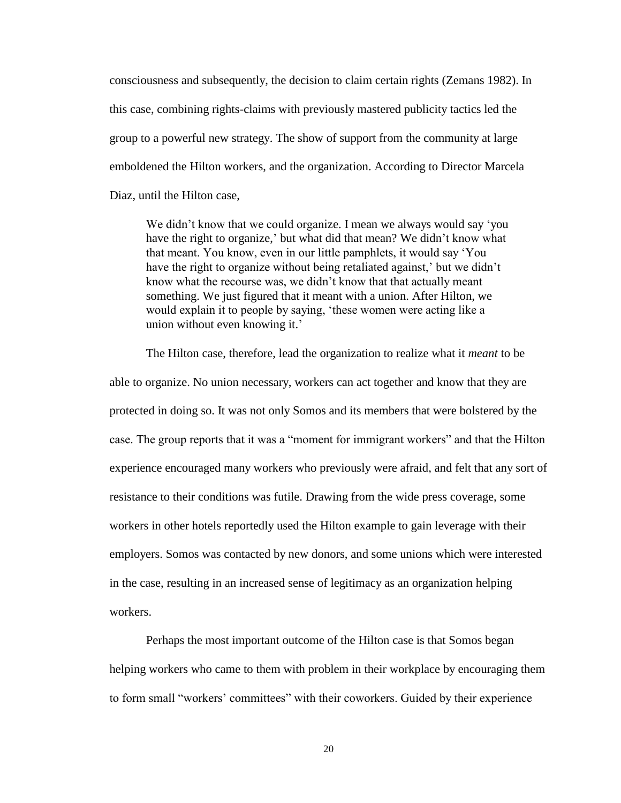consciousness and subsequently, the decision to claim certain rights (Zemans 1982). In this case, combining rights-claims with previously mastered publicity tactics led the group to a powerful new strategy. The show of support from the community at large emboldened the Hilton workers, and the organization. According to Director Marcela Diaz, until the Hilton case,

We didn't know that we could organize. I mean we always would say 'you have the right to organize,' but what did that mean? We didn't know what that meant. You know, even in our little pamphlets, it would say 'You have the right to organize without being retaliated against,' but we didn't know what the recourse was, we didn't know that that actually meant something. We just figured that it meant with a union. After Hilton, we would explain it to people by saying, 'these women were acting like a union without even knowing it.'

The Hilton case, therefore, lead the organization to realize what it *meant* to be able to organize. No union necessary, workers can act together and know that they are protected in doing so. It was not only Somos and its members that were bolstered by the case. The group reports that it was a "moment for immigrant workers" and that the Hilton experience encouraged many workers who previously were afraid, and felt that any sort of resistance to their conditions was futile. Drawing from the wide press coverage, some workers in other hotels reportedly used the Hilton example to gain leverage with their employers. Somos was contacted by new donors, and some unions which were interested in the case, resulting in an increased sense of legitimacy as an organization helping workers.

Perhaps the most important outcome of the Hilton case is that Somos began helping workers who came to them with problem in their workplace by encouraging them to form small "workers' committees" with their coworkers. Guided by their experience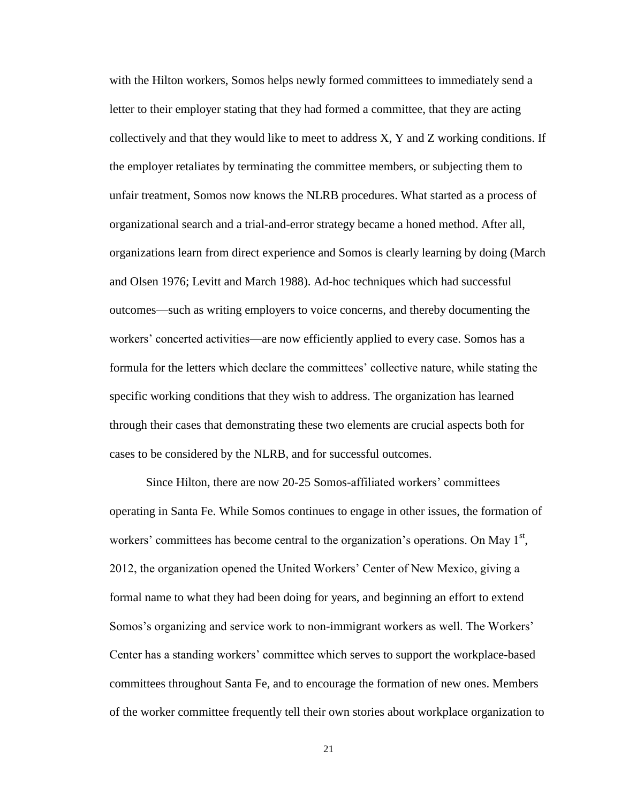with the Hilton workers, Somos helps newly formed committees to immediately send a letter to their employer stating that they had formed a committee, that they are acting collectively and that they would like to meet to address X, Y and Z working conditions. If the employer retaliates by terminating the committee members, or subjecting them to unfair treatment, Somos now knows the NLRB procedures. What started as a process of organizational search and a trial-and-error strategy became a honed method. After all, organizations learn from direct experience and Somos is clearly learning by doing (March and Olsen 1976; Levitt and March 1988). Ad-hoc techniques which had successful outcomes—such as writing employers to voice concerns, and thereby documenting the workers' concerted activities—are now efficiently applied to every case. Somos has a formula for the letters which declare the committees' collective nature, while stating the specific working conditions that they wish to address. The organization has learned through their cases that demonstrating these two elements are crucial aspects both for cases to be considered by the NLRB, and for successful outcomes.

Since Hilton, there are now 20-25 Somos-affiliated workers' committees operating in Santa Fe. While Somos continues to engage in other issues, the formation of workers' committees has become central to the organization's operations. On May  $1<sup>st</sup>$ , 2012, the organization opened the United Workers' Center of New Mexico, giving a formal name to what they had been doing for years, and beginning an effort to extend Somos's organizing and service work to non-immigrant workers as well. The Workers' Center has a standing workers' committee which serves to support the workplace-based committees throughout Santa Fe, and to encourage the formation of new ones. Members of the worker committee frequently tell their own stories about workplace organization to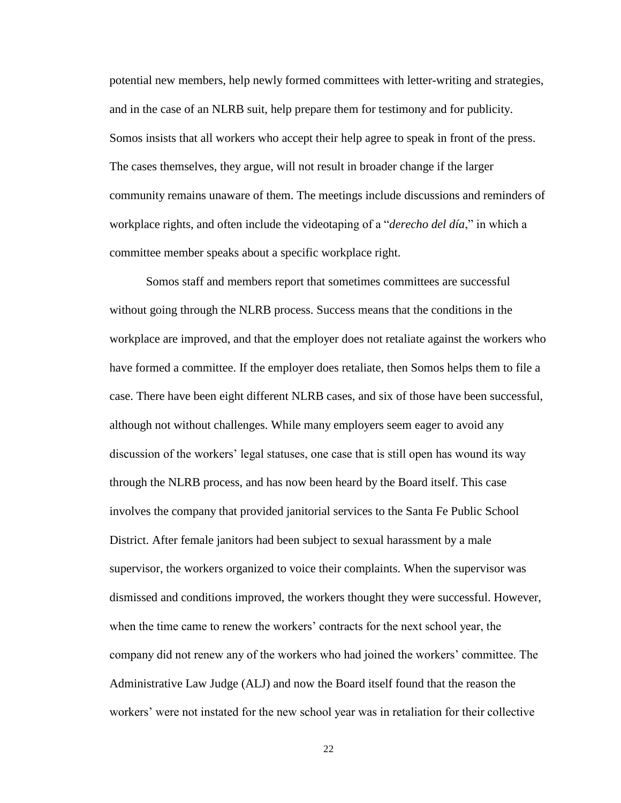potential new members, help newly formed committees with letter-writing and strategies, and in the case of an NLRB suit, help prepare them for testimony and for publicity. Somos insists that all workers who accept their help agree to speak in front of the press. The cases themselves, they argue, will not result in broader change if the larger community remains unaware of them. The meetings include discussions and reminders of workplace rights, and often include the videotaping of a "*derecho del día*," in which a committee member speaks about a specific workplace right.

Somos staff and members report that sometimes committees are successful without going through the NLRB process. Success means that the conditions in the workplace are improved, and that the employer does not retaliate against the workers who have formed a committee. If the employer does retaliate, then Somos helps them to file a case. There have been eight different NLRB cases, and six of those have been successful, although not without challenges. While many employers seem eager to avoid any discussion of the workers' legal statuses, one case that is still open has wound its way through the NLRB process, and has now been heard by the Board itself. This case involves the company that provided janitorial services to the Santa Fe Public School District. After female janitors had been subject to sexual harassment by a male supervisor, the workers organized to voice their complaints. When the supervisor was dismissed and conditions improved, the workers thought they were successful. However, when the time came to renew the workers' contracts for the next school year, the company did not renew any of the workers who had joined the workers' committee. The Administrative Law Judge (ALJ) and now the Board itself found that the reason the workers' were not instated for the new school year was in retaliation for their collective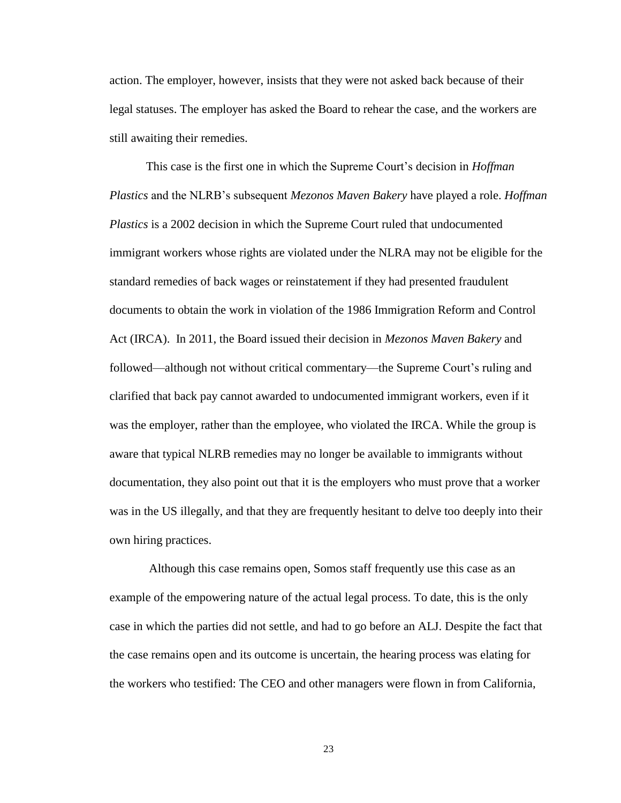action. The employer, however, insists that they were not asked back because of their legal statuses. The employer has asked the Board to rehear the case, and the workers are still awaiting their remedies.

This case is the first one in which the Supreme Court's decision in *Hoffman Plastics* and the NLRB's subsequent *Mezonos Maven Bakery* have played a role. *Hoffman Plastics* is a 2002 decision in which the Supreme Court ruled that undocumented immigrant workers whose rights are violated under the NLRA may not be eligible for the standard remedies of back wages or reinstatement if they had presented fraudulent documents to obtain the work in violation of the 1986 Immigration Reform and Control Act (IRCA). In 2011, the Board issued their decision in *Mezonos Maven Bakery* and followed—although not without critical commentary—the Supreme Court's ruling and clarified that back pay cannot awarded to undocumented immigrant workers, even if it was the employer, rather than the employee, who violated the IRCA. While the group is aware that typical NLRB remedies may no longer be available to immigrants without documentation, they also point out that it is the employers who must prove that a worker was in the US illegally, and that they are frequently hesitant to delve too deeply into their own hiring practices.

Although this case remains open, Somos staff frequently use this case as an example of the empowering nature of the actual legal process. To date, this is the only case in which the parties did not settle, and had to go before an ALJ. Despite the fact that the case remains open and its outcome is uncertain, the hearing process was elating for the workers who testified: The CEO and other managers were flown in from California,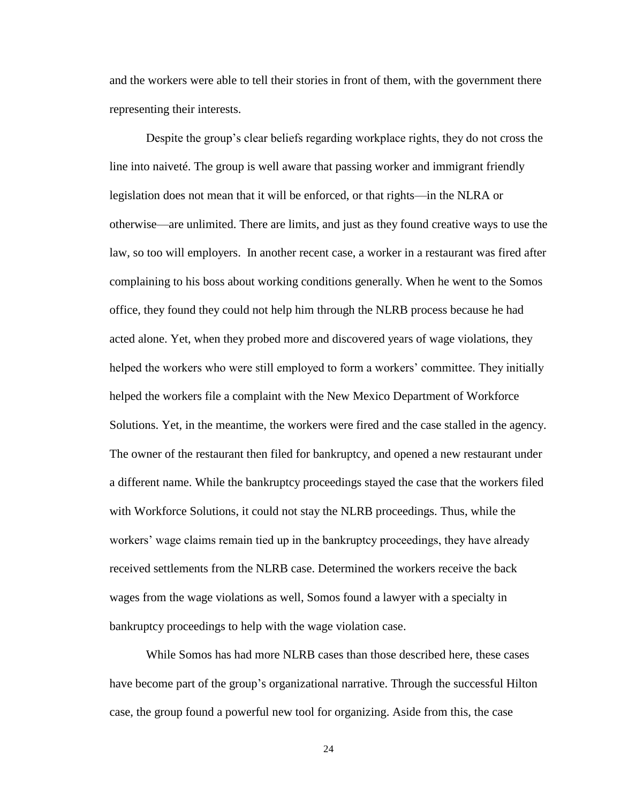and the workers were able to tell their stories in front of them, with the government there representing their interests.

Despite the group's clear beliefs regarding workplace rights, they do not cross the line into naiveté. The group is well aware that passing worker and immigrant friendly legislation does not mean that it will be enforced, or that rights—in the NLRA or otherwise—are unlimited. There are limits, and just as they found creative ways to use the law, so too will employers. In another recent case, a worker in a restaurant was fired after complaining to his boss about working conditions generally. When he went to the Somos office, they found they could not help him through the NLRB process because he had acted alone. Yet, when they probed more and discovered years of wage violations, they helped the workers who were still employed to form a workers' committee. They initially helped the workers file a complaint with the New Mexico Department of Workforce Solutions. Yet, in the meantime, the workers were fired and the case stalled in the agency. The owner of the restaurant then filed for bankruptcy, and opened a new restaurant under a different name. While the bankruptcy proceedings stayed the case that the workers filed with Workforce Solutions, it could not stay the NLRB proceedings. Thus, while the workers' wage claims remain tied up in the bankruptcy proceedings, they have already received settlements from the NLRB case. Determined the workers receive the back wages from the wage violations as well, Somos found a lawyer with a specialty in bankruptcy proceedings to help with the wage violation case.

While Somos has had more NLRB cases than those described here, these cases have become part of the group's organizational narrative. Through the successful Hilton case, the group found a powerful new tool for organizing. Aside from this, the case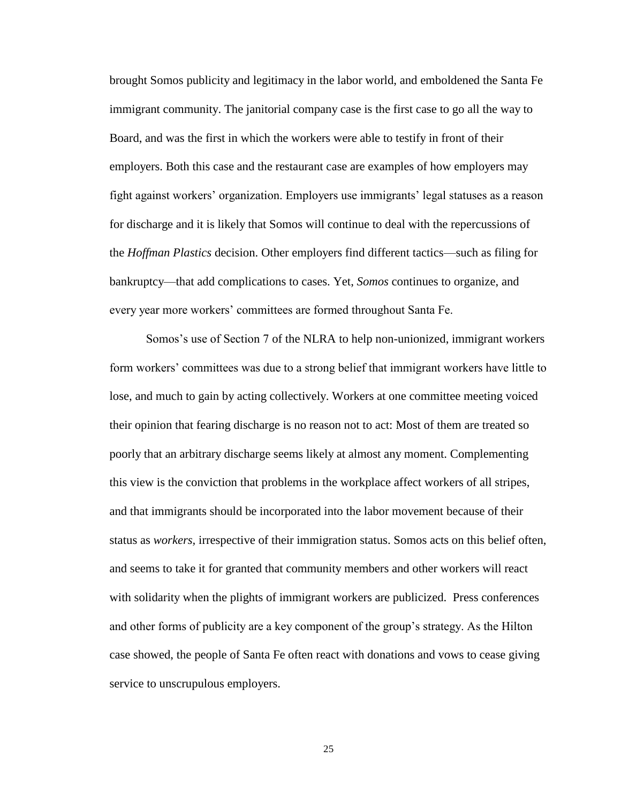brought Somos publicity and legitimacy in the labor world, and emboldened the Santa Fe immigrant community. The janitorial company case is the first case to go all the way to Board, and was the first in which the workers were able to testify in front of their employers. Both this case and the restaurant case are examples of how employers may fight against workers' organization. Employers use immigrants' legal statuses as a reason for discharge and it is likely that Somos will continue to deal with the repercussions of the *Hoffman Plastics* decision. Other employers find different tactics—such as filing for bankruptcy—that add complications to cases. Yet, *Somos* continues to organize, and every year more workers' committees are formed throughout Santa Fe.

Somos's use of Section 7 of the NLRA to help non-unionized, immigrant workers form workers' committees was due to a strong belief that immigrant workers have little to lose, and much to gain by acting collectively. Workers at one committee meeting voiced their opinion that fearing discharge is no reason not to act: Most of them are treated so poorly that an arbitrary discharge seems likely at almost any moment. Complementing this view is the conviction that problems in the workplace affect workers of all stripes, and that immigrants should be incorporated into the labor movement because of their status as *workers,* irrespective of their immigration status. Somos acts on this belief often, and seems to take it for granted that community members and other workers will react with solidarity when the plights of immigrant workers are publicized. Press conferences and other forms of publicity are a key component of the group's strategy. As the Hilton case showed, the people of Santa Fe often react with donations and vows to cease giving service to unscrupulous employers.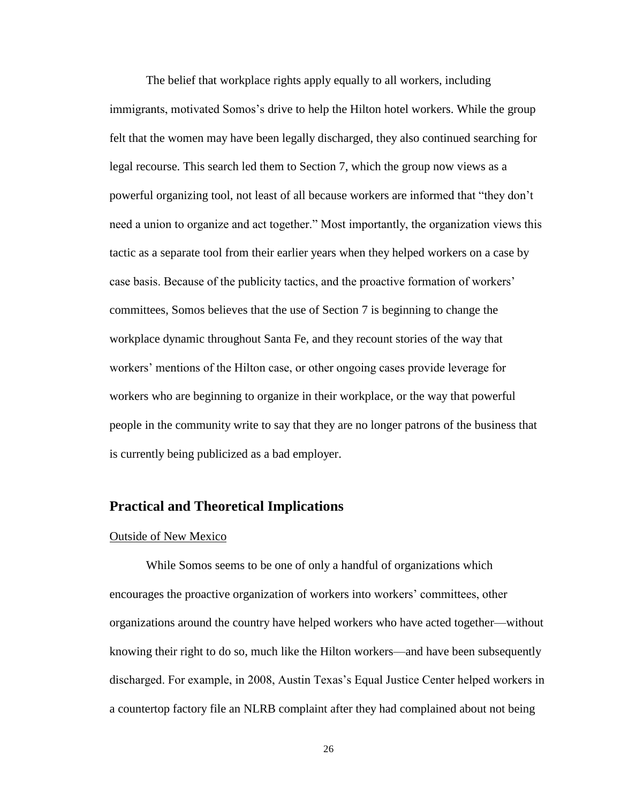The belief that workplace rights apply equally to all workers, including immigrants, motivated Somos's drive to help the Hilton hotel workers. While the group felt that the women may have been legally discharged, they also continued searching for legal recourse. This search led them to Section 7, which the group now views as a powerful organizing tool, not least of all because workers are informed that "they don't need a union to organize and act together." Most importantly, the organization views this tactic as a separate tool from their earlier years when they helped workers on a case by case basis. Because of the publicity tactics, and the proactive formation of workers' committees, Somos believes that the use of Section 7 is beginning to change the workplace dynamic throughout Santa Fe, and they recount stories of the way that workers' mentions of the Hilton case, or other ongoing cases provide leverage for workers who are beginning to organize in their workplace, or the way that powerful people in the community write to say that they are no longer patrons of the business that is currently being publicized as a bad employer.

#### <span id="page-31-0"></span>**Practical and Theoretical Implications**

#### Outside of New Mexico

While Somos seems to be one of only a handful of organizations which encourages the proactive organization of workers into workers' committees, other organizations around the country have helped workers who have acted together—without knowing their right to do so, much like the Hilton workers—and have been subsequently discharged. For example, in 2008, Austin Texas's Equal Justice Center helped workers in a countertop factory file an NLRB complaint after they had complained about not being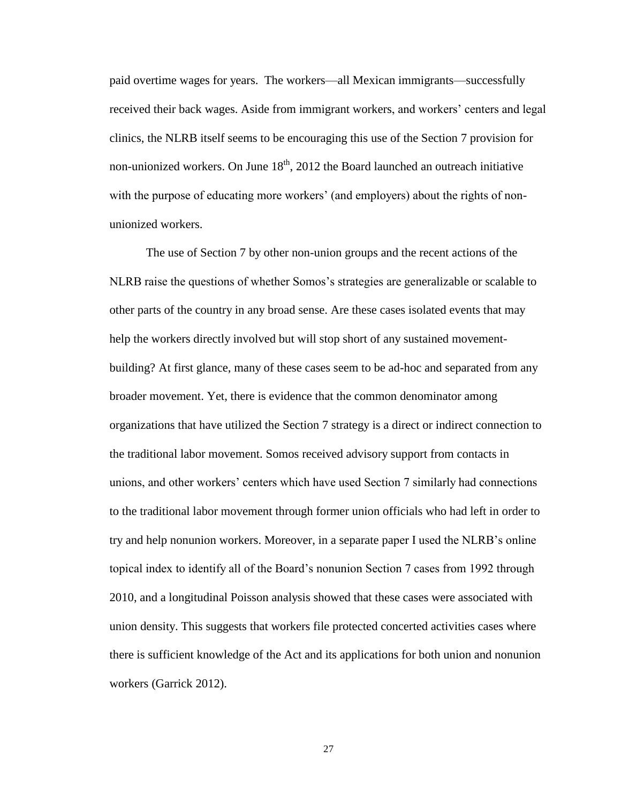paid overtime wages for years. The workers—all Mexican immigrants—successfully received their back wages. Aside from immigrant workers, and workers' centers and legal clinics, the NLRB itself seems to be encouraging this use of the Section 7 provision for non-unionized workers. On June  $18<sup>th</sup>$ , 2012 the Board launched an outreach initiative with the purpose of educating more workers' (and employers) about the rights of nonunionized workers.

The use of Section 7 by other non-union groups and the recent actions of the NLRB raise the questions of whether Somos's strategies are generalizable or scalable to other parts of the country in any broad sense. Are these cases isolated events that may help the workers directly involved but will stop short of any sustained movementbuilding? At first glance, many of these cases seem to be ad-hoc and separated from any broader movement. Yet, there is evidence that the common denominator among organizations that have utilized the Section 7 strategy is a direct or indirect connection to the traditional labor movement. Somos received advisory support from contacts in unions, and other workers' centers which have used Section 7 similarly had connections to the traditional labor movement through former union officials who had left in order to try and help nonunion workers. Moreover, in a separate paper I used the NLRB's online topical index to identify all of the Board's nonunion Section 7 cases from 1992 through 2010, and a longitudinal Poisson analysis showed that these cases were associated with union density. This suggests that workers file protected concerted activities cases where there is sufficient knowledge of the Act and its applications for both union and nonunion workers (Garrick 2012).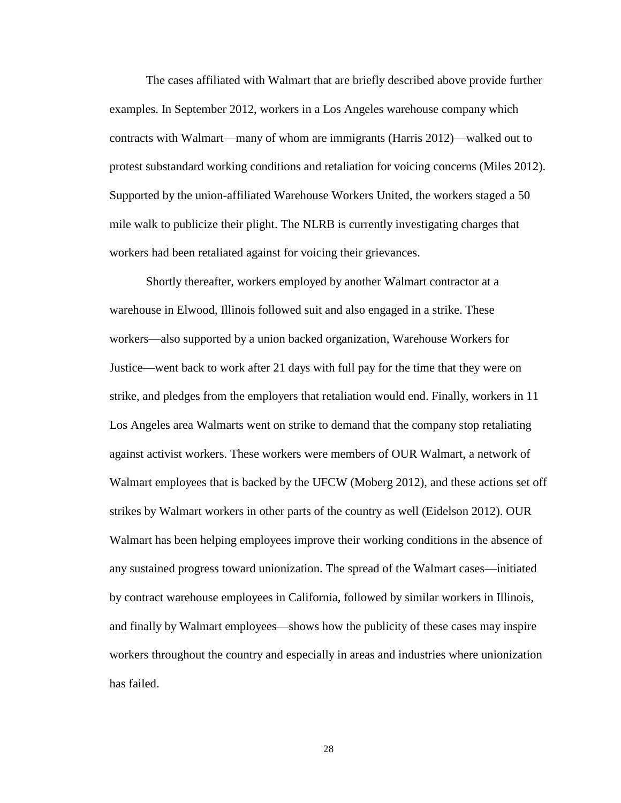The cases affiliated with Walmart that are briefly described above provide further examples. In September 2012, workers in a Los Angeles warehouse company which contracts with Walmart—many of whom are immigrants (Harris 2012)—walked out to protest substandard working conditions and retaliation for voicing concerns (Miles 2012). Supported by the union-affiliated Warehouse Workers United, the workers staged a 50 mile walk to publicize their plight. The NLRB is currently investigating charges that workers had been retaliated against for voicing their grievances.

Shortly thereafter, workers employed by another Walmart contractor at a warehouse in Elwood, Illinois followed suit and also engaged in a strike. These workers—also supported by a union backed organization, Warehouse Workers for Justice—went back to work after 21 days with full pay for the time that they were on strike, and pledges from the employers that retaliation would end. Finally, workers in 11 Los Angeles area Walmarts went on strike to demand that the company stop retaliating against activist workers. These workers were members of OUR Walmart, a network of Walmart employees that is backed by the UFCW (Moberg 2012), and these actions set off strikes by Walmart workers in other parts of the country as well (Eidelson 2012). OUR Walmart has been helping employees improve their working conditions in the absence of any sustained progress toward unionization. The spread of the Walmart cases—initiated by contract warehouse employees in California, followed by similar workers in Illinois, and finally by Walmart employees—shows how the publicity of these cases may inspire workers throughout the country and especially in areas and industries where unionization has failed.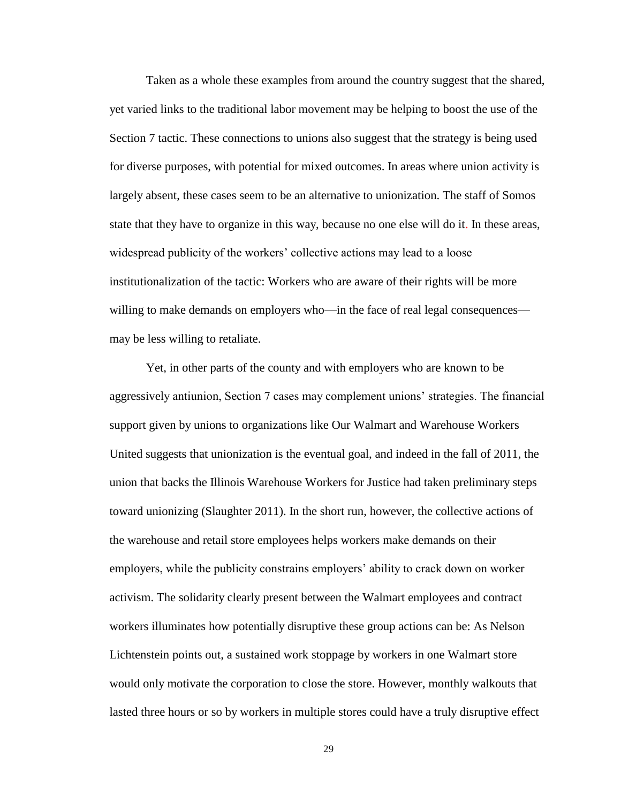Taken as a whole these examples from around the country suggest that the shared, yet varied links to the traditional labor movement may be helping to boost the use of the Section 7 tactic. These connections to unions also suggest that the strategy is being used for diverse purposes, with potential for mixed outcomes. In areas where union activity is largely absent, these cases seem to be an alternative to unionization. The staff of Somos state that they have to organize in this way, because no one else will do it. In these areas, widespread publicity of the workers' collective actions may lead to a loose institutionalization of the tactic: Workers who are aware of their rights will be more willing to make demands on employers who—in the face of real legal consequences may be less willing to retaliate.

Yet, in other parts of the county and with employers who are known to be aggressively antiunion, Section 7 cases may complement unions' strategies. The financial support given by unions to organizations like Our Walmart and Warehouse Workers United suggests that unionization is the eventual goal, and indeed in the fall of 2011, the union that backs the Illinois Warehouse Workers for Justice had taken preliminary steps toward unionizing (Slaughter 2011). In the short run, however, the collective actions of the warehouse and retail store employees helps workers make demands on their employers, while the publicity constrains employers' ability to crack down on worker activism. The solidarity clearly present between the Walmart employees and contract workers illuminates how potentially disruptive these group actions can be: As Nelson Lichtenstein points out, a sustained work stoppage by workers in one Walmart store would only motivate the corporation to close the store. However, monthly walkouts that lasted three hours or so by workers in multiple stores could have a truly disruptive effect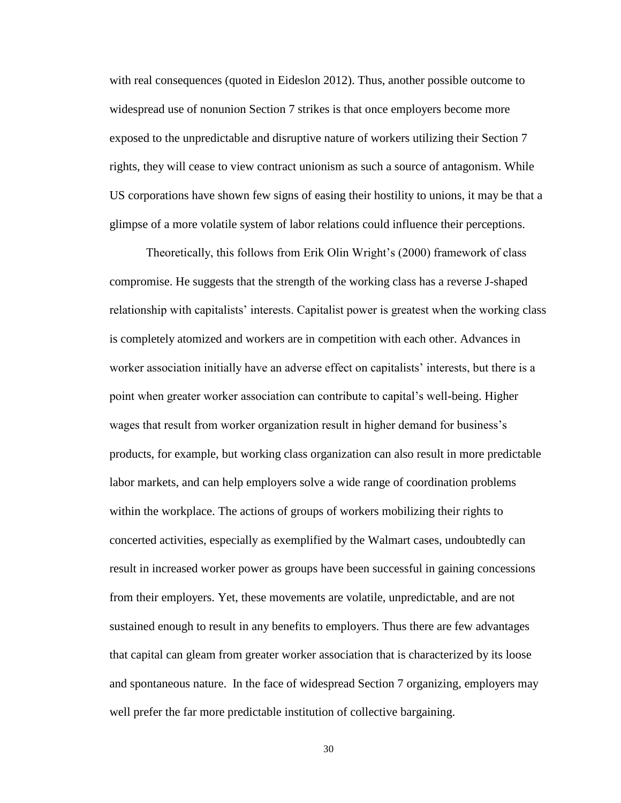with real consequences (quoted in Eideslon 2012). Thus, another possible outcome to widespread use of nonunion Section 7 strikes is that once employers become more exposed to the unpredictable and disruptive nature of workers utilizing their Section 7 rights, they will cease to view contract unionism as such a source of antagonism. While US corporations have shown few signs of easing their hostility to unions, it may be that a glimpse of a more volatile system of labor relations could influence their perceptions.

Theoretically, this follows from Erik Olin Wright's (2000) framework of class compromise. He suggests that the strength of the working class has a reverse J-shaped relationship with capitalists' interests. Capitalist power is greatest when the working class is completely atomized and workers are in competition with each other. Advances in worker association initially have an adverse effect on capitalists' interests, but there is a point when greater worker association can contribute to capital's well-being. Higher wages that result from worker organization result in higher demand for business's products, for example, but working class organization can also result in more predictable labor markets, and can help employers solve a wide range of coordination problems within the workplace. The actions of groups of workers mobilizing their rights to concerted activities, especially as exemplified by the Walmart cases, undoubtedly can result in increased worker power as groups have been successful in gaining concessions from their employers. Yet, these movements are volatile, unpredictable, and are not sustained enough to result in any benefits to employers. Thus there are few advantages that capital can gleam from greater worker association that is characterized by its loose and spontaneous nature. In the face of widespread Section 7 organizing, employers may well prefer the far more predictable institution of collective bargaining.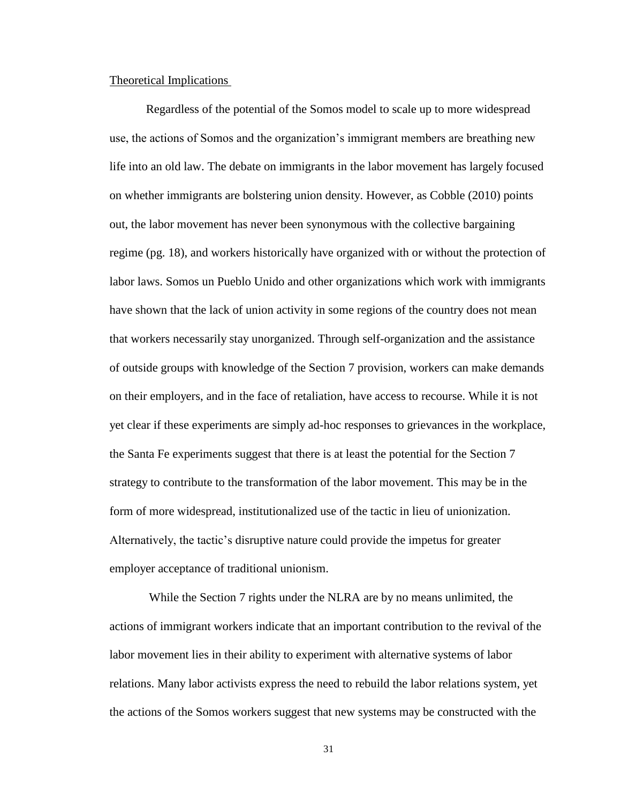#### Theoretical Implications

Regardless of the potential of the Somos model to scale up to more widespread use, the actions of Somos and the organization's immigrant members are breathing new life into an old law. The debate on immigrants in the labor movement has largely focused on whether immigrants are bolstering union density. However, as Cobble (2010) points out, the labor movement has never been synonymous with the collective bargaining regime (pg. 18), and workers historically have organized with or without the protection of labor laws. Somos un Pueblo Unido and other organizations which work with immigrants have shown that the lack of union activity in some regions of the country does not mean that workers necessarily stay unorganized. Through self-organization and the assistance of outside groups with knowledge of the Section 7 provision, workers can make demands on their employers, and in the face of retaliation, have access to recourse. While it is not yet clear if these experiments are simply ad-hoc responses to grievances in the workplace, the Santa Fe experiments suggest that there is at least the potential for the Section 7 strategy to contribute to the transformation of the labor movement. This may be in the form of more widespread, institutionalized use of the tactic in lieu of unionization. Alternatively, the tactic's disruptive nature could provide the impetus for greater employer acceptance of traditional unionism.

While the Section 7 rights under the NLRA are by no means unlimited, the actions of immigrant workers indicate that an important contribution to the revival of the labor movement lies in their ability to experiment with alternative systems of labor relations. Many labor activists express the need to rebuild the labor relations system, yet the actions of the Somos workers suggest that new systems may be constructed with the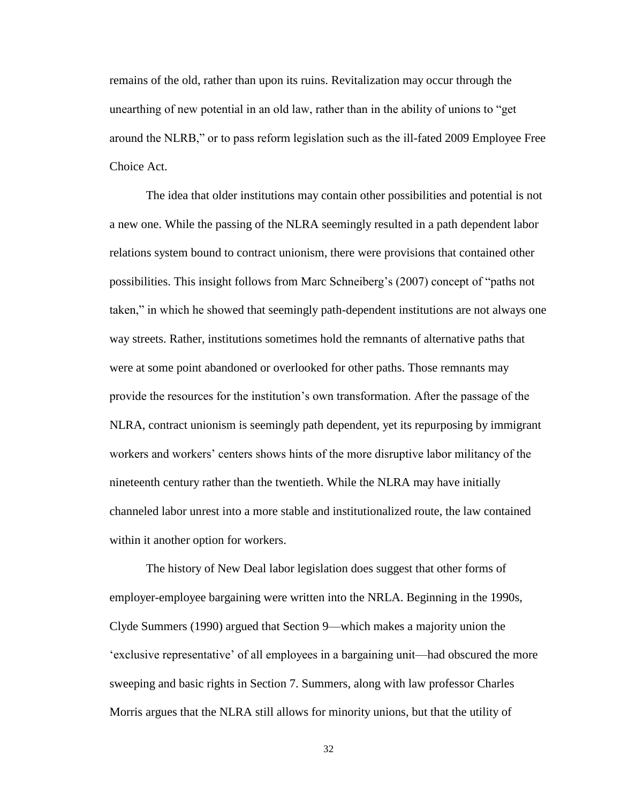remains of the old, rather than upon its ruins. Revitalization may occur through the unearthing of new potential in an old law, rather than in the ability of unions to "get around the NLRB," or to pass reform legislation such as the ill-fated 2009 Employee Free Choice Act.

The idea that older institutions may contain other possibilities and potential is not a new one. While the passing of the NLRA seemingly resulted in a path dependent labor relations system bound to contract unionism, there were provisions that contained other possibilities. This insight follows from Marc Schneiberg's (2007) concept of "paths not taken," in which he showed that seemingly path-dependent institutions are not always one way streets. Rather, institutions sometimes hold the remnants of alternative paths that were at some point abandoned or overlooked for other paths. Those remnants may provide the resources for the institution's own transformation. After the passage of the NLRA, contract unionism is seemingly path dependent, yet its repurposing by immigrant workers and workers' centers shows hints of the more disruptive labor militancy of the nineteenth century rather than the twentieth. While the NLRA may have initially channeled labor unrest into a more stable and institutionalized route, the law contained within it another option for workers.

The history of New Deal labor legislation does suggest that other forms of employer-employee bargaining were written into the NRLA. Beginning in the 1990s, Clyde Summers (1990) argued that Section 9—which makes a majority union the 'exclusive representative' of all employees in a bargaining unit—had obscured the more sweeping and basic rights in Section 7. Summers, along with law professor Charles Morris argues that the NLRA still allows for minority unions, but that the utility of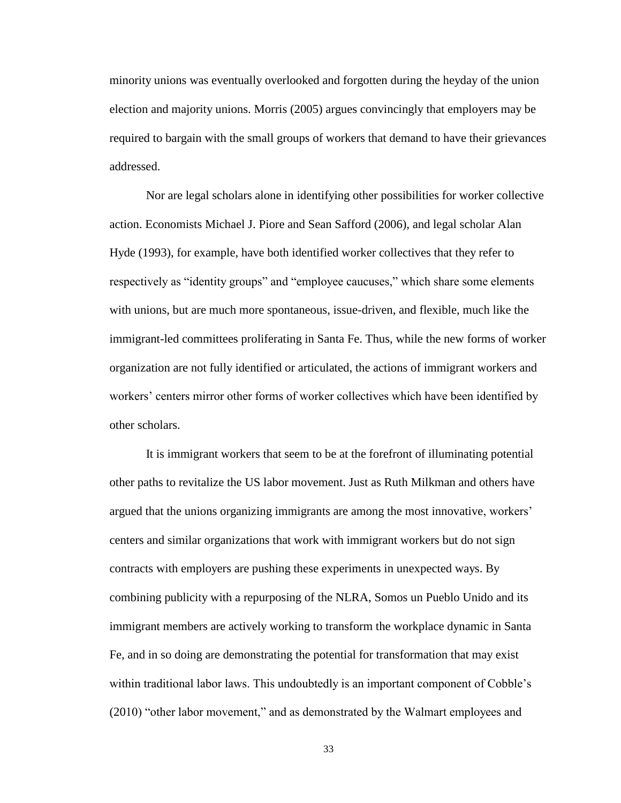minority unions was eventually overlooked and forgotten during the heyday of the union election and majority unions. Morris (2005) argues convincingly that employers may be required to bargain with the small groups of workers that demand to have their grievances addressed.

Nor are legal scholars alone in identifying other possibilities for worker collective action. Economists Michael J. Piore and Sean Safford (2006), and legal scholar Alan Hyde (1993), for example, have both identified worker collectives that they refer to respectively as "identity groups" and "employee caucuses," which share some elements with unions, but are much more spontaneous, issue-driven, and flexible, much like the immigrant-led committees proliferating in Santa Fe. Thus, while the new forms of worker organization are not fully identified or articulated, the actions of immigrant workers and workers' centers mirror other forms of worker collectives which have been identified by other scholars.

It is immigrant workers that seem to be at the forefront of illuminating potential other paths to revitalize the US labor movement. Just as Ruth Milkman and others have argued that the unions organizing immigrants are among the most innovative, workers' centers and similar organizations that work with immigrant workers but do not sign contracts with employers are pushing these experiments in unexpected ways. By combining publicity with a repurposing of the NLRA, Somos un Pueblo Unido and its immigrant members are actively working to transform the workplace dynamic in Santa Fe, and in so doing are demonstrating the potential for transformation that may exist within traditional labor laws. This undoubtedly is an important component of Cobble's (2010) "other labor movement," and as demonstrated by the Walmart employees and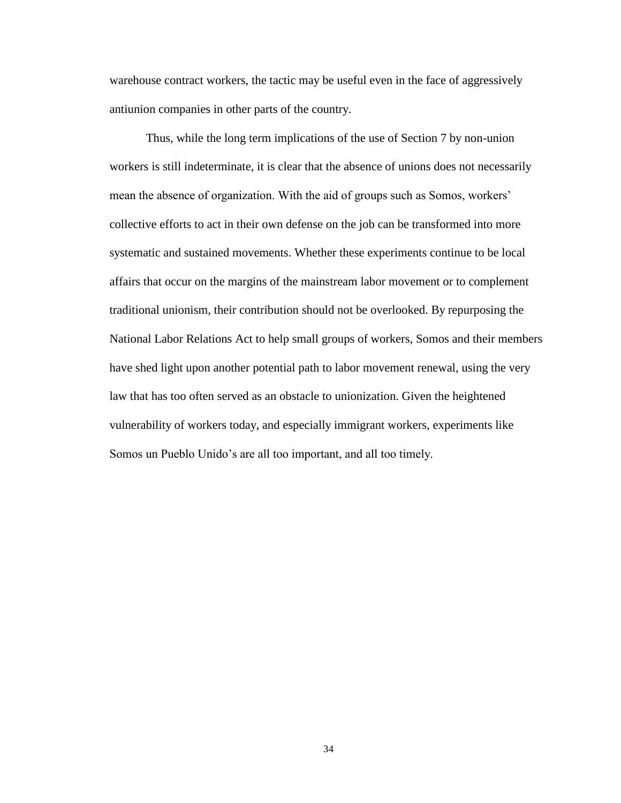warehouse contract workers, the tactic may be useful even in the face of aggressively antiunion companies in other parts of the country.

Thus, while the long term implications of the use of Section 7 by non-union workers is still indeterminate, it is clear that the absence of unions does not necessarily mean the absence of organization. With the aid of groups such as Somos, workers' collective efforts to act in their own defense on the job can be transformed into more systematic and sustained movements. Whether these experiments continue to be local affairs that occur on the margins of the mainstream labor movement or to complement traditional unionism, their contribution should not be overlooked. By repurposing the National Labor Relations Act to help small groups of workers, Somos and their members have shed light upon another potential path to labor movement renewal, using the very law that has too often served as an obstacle to unionization. Given the heightened vulnerability of workers today, and especially immigrant workers, experiments like Somos un Pueblo Unido's are all too important, and all too timely.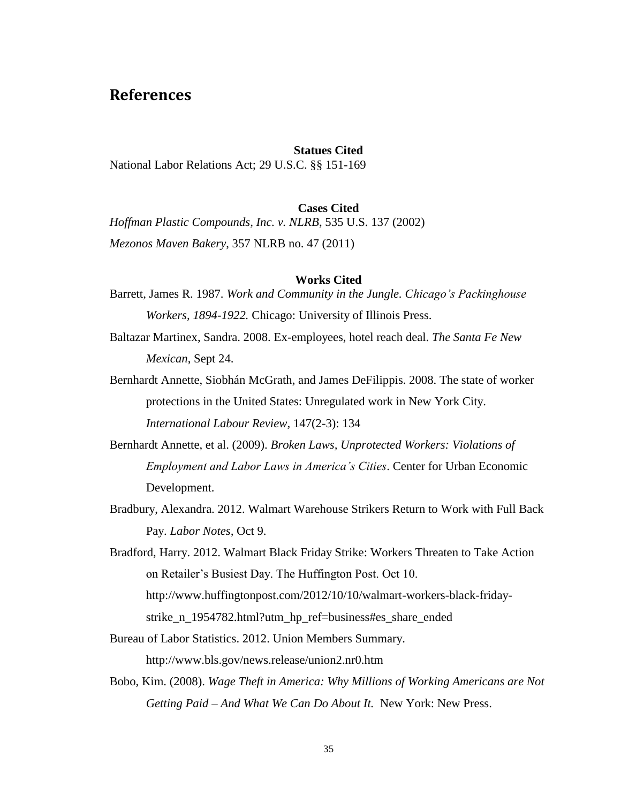# <span id="page-40-0"></span>**References**

#### **Statues Cited**

National Labor Relations Act; 29 U.S.C. §§ 151-169

#### **Cases Cited**

*Hoffman Plastic Compounds, Inc. v. NLRB*, 535 U.S. 137 (2002) *Mezonos Maven Bakery*, 357 NLRB no. 47 (2011)

#### **Works Cited**

- Barrett, James R. 1987. *Work and Community in the Jungle. Chicago's Packinghouse Workers, 1894-1922.* Chicago: University of Illinois Press.
- Baltazar Martinex, Sandra. 2008. Ex-employees, hotel reach deal. *The Santa Fe New Mexican*, Sept 24.
- Bernhardt Annette, Siobhán McGrath, and James DeFilippis. 2008. The state of worker protections in the United States: Unregulated work in New York City. *International Labour Review,* 147(2-3): 134
- Bernhardt Annette, et al. (2009). *Broken Laws, Unprotected Workers: Violations of Employment and Labor Laws in America's Cities*. Center for Urban Economic Development.
- Bradbury, Alexandra. 2012. Walmart Warehouse Strikers Return to Work with Full Back Pay. *Labor Notes,* Oct 9.

Bradford, Harry. 2012. Walmart Black Friday Strike: Workers Threaten to Take Action on Retailer's Busiest Day. The Huffington Post. Oct 10. http://www.huffingtonpost.com/2012/10/10/walmart-workers-black-fridaystrike\_n\_1954782.html?utm\_hp\_ref=business#es\_share\_ended

- Bureau of Labor Statistics. 2012. Union Members Summary. http://www.bls.gov/news.release/union2.nr0.htm
- Bobo, Kim. (2008). *Wage Theft in America: Why Millions of Working Americans are Not Getting Paid – And What We Can Do About It.* New York: New Press.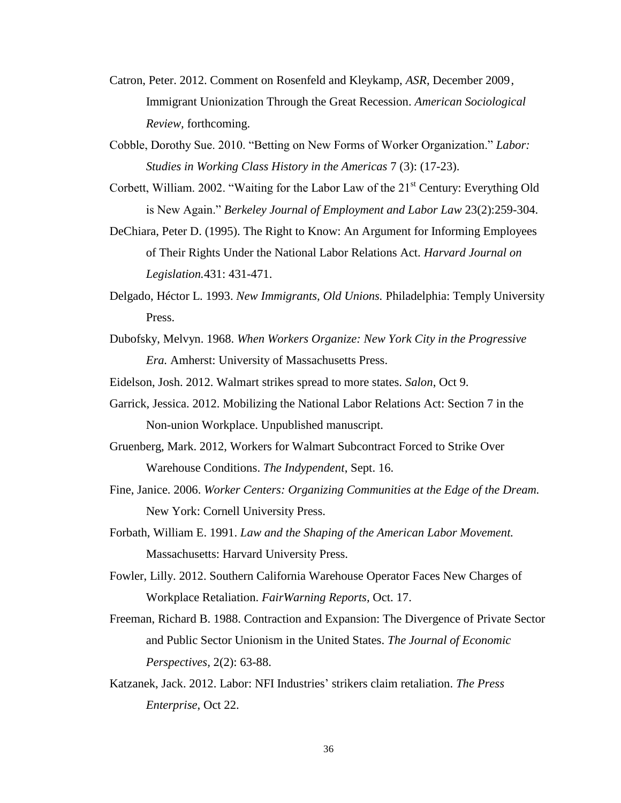- Catron, Peter. 2012. Comment on Rosenfeld and Kleykamp, *ASR*, December 2009, Immigrant Unionization Through the Great Recession. *American Sociological Review,* forthcoming.
- Cobble, Dorothy Sue. 2010. "Betting on New Forms of Worker Organization." *Labor: Studies in Working Class History in the Americas* 7 (3): (17-23).
- Corbett, William. 2002. "Waiting for the Labor Law of the  $21<sup>st</sup>$  Century: Everything Old is New Again." *Berkeley Journal of Employment and Labor Law* 23(2):259-304.
- DeChiara, Peter D. (1995). The Right to Know: An Argument for Informing Employees of Their Rights Under the National Labor Relations Act. *Harvard Journal on Legislation.*431: 431-471.
- Delgado, Héctor L. 1993. *New Immigrants, Old Unions.* Philadelphia: Temply University Press.
- Dubofsky, Melvyn. 1968. *When Workers Organize: New York City in the Progressive Era.* Amherst: University of Massachusetts Press.
- Eidelson, Josh. 2012. Walmart strikes spread to more states. *Salon*, Oct 9.
- Garrick, Jessica. 2012. Mobilizing the National Labor Relations Act: Section 7 in the Non-union Workplace. Unpublished manuscript.
- Gruenberg, Mark. 2012, Workers for Walmart Subcontract Forced to Strike Over Warehouse Conditions. *The Indypendent*, Sept. 16.
- Fine, Janice. 2006. *Worker Centers: Organizing Communities at the Edge of the Dream.*  New York: Cornell University Press.
- Forbath, William E. 1991. *Law and the Shaping of the American Labor Movement.*  Massachusetts: Harvard University Press.
- Fowler, Lilly. 2012. Southern California Warehouse Operator Faces New Charges of Workplace Retaliation. *FairWarning Reports,* Oct. 17.
- Freeman, Richard B. 1988. Contraction and Expansion: The Divergence of Private Sector and Public Sector Unionism in the United States. *The Journal of Economic Perspectives,* 2(2): 63-88.
- Katzanek, Jack. 2012. Labor: NFI Industries' strikers claim retaliation. *The Press Enterprise*, Oct 22.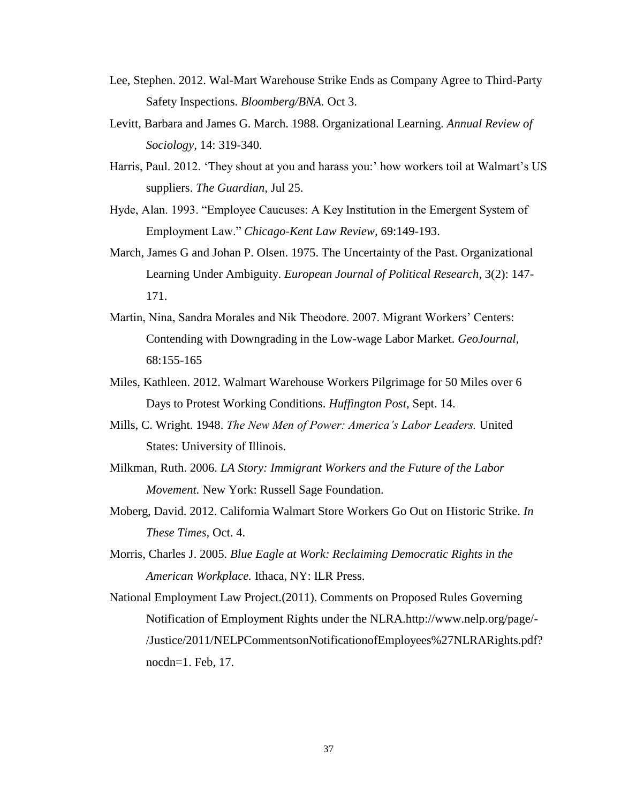- Lee, Stephen. 2012. Wal-Mart Warehouse Strike Ends as Company Agree to Third-Party Safety Inspections. *Bloomberg/BNA.* Oct 3.
- Levitt, Barbara and James G. March. 1988. Organizational Learning. *Annual Review of Sociology,* 14: 319-340.
- Harris, Paul. 2012. 'They shout at you and harass you:' how workers toil at Walmart's US suppliers. *The Guardian,* Jul 25.
- Hyde, Alan. 1993. "Employee Caucuses: A Key Institution in the Emergent System of Employment Law." *Chicago-Kent Law Review,* 69:149-193.
- March, James G and Johan P. Olsen. 1975. The Uncertainty of the Past. Organizational Learning Under Ambiguity. *European Journal of Political Research*, 3(2): 147- 171.
- Martin, Nina, Sandra Morales and Nik Theodore. 2007. Migrant Workers' Centers: Contending with Downgrading in the Low-wage Labor Market. *GeoJournal,*  68:155-165
- Miles, Kathleen. 2012. Walmart Warehouse Workers Pilgrimage for 50 Miles over 6 Days to Protest Working Conditions. *Huffington Post,* Sept. 14.
- Mills, C. Wright. 1948. *The New Men of Power: America's Labor Leaders.* United States: University of Illinois.
- Milkman, Ruth. 2006. *LA Story: Immigrant Workers and the Future of the Labor Movement.* New York: Russell Sage Foundation.
- Moberg, David. 2012. California Walmart Store Workers Go Out on Historic Strike. *In These Times,* Oct. 4.
- Morris, Charles J. 2005. *Blue Eagle at Work: Reclaiming Democratic Rights in the American Workplace.* Ithaca, NY: ILR Press.
- National Employment Law Project.(2011). Comments on Proposed Rules Governing Notification of Employment Rights under the NLRA.http://www.nelp.org/page/- /Justice/2011/NELPCommentsonNotificationofEmployees%27NLRARights.pdf? nocdn=1. Feb, 17.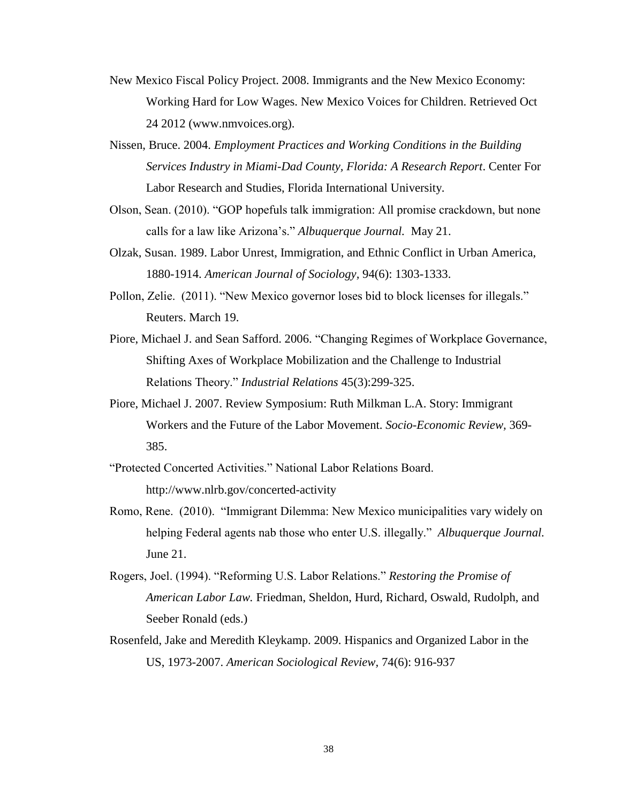- New Mexico Fiscal Policy Project. 2008. Immigrants and the New Mexico Economy: Working Hard for Low Wages. New Mexico Voices for Children. Retrieved Oct 24 2012 (www.nmvoices.org).
- Nissen, Bruce. 2004. *Employment Practices and Working Conditions in the Building Services Industry in Miami-Dad County, Florida: A Research Report*. Center For Labor Research and Studies, Florida International University.
- Olson, Sean. (2010). "GOP hopefuls talk immigration: All promise crackdown, but none calls for a law like Arizona's." *Albuquerque Journal.* May 21.
- Olzak, Susan. 1989. Labor Unrest, Immigration, and Ethnic Conflict in Urban America, 1880-1914. *American Journal of Sociology,* 94(6): 1303-1333.
- Pollon, Zelie. (2011). "New Mexico governor loses bid to block licenses for illegals." Reuters. March 19.
- Piore, Michael J. and Sean Safford. 2006. "Changing Regimes of Workplace Governance, Shifting Axes of Workplace Mobilization and the Challenge to Industrial Relations Theory." *Industrial Relations* 45(3):299-325.
- Piore, Michael J. 2007. Review Symposium: Ruth Milkman L.A. Story: Immigrant Workers and the Future of the Labor Movement. *Socio-Economic Review,* 369- 385.
- "Protected Concerted Activities." National Labor Relations Board. http://www.nlrb.gov/concerted-activity
- Romo, Rene. (2010). "Immigrant Dilemma: New Mexico municipalities vary widely on helping Federal agents nab those who enter U.S. illegally." *Albuquerque Journal.* June 21.
- Rogers, Joel. (1994). "Reforming U.S. Labor Relations." *Restoring the Promise of American Labor Law.* Friedman, Sheldon, Hurd, Richard, Oswald, Rudolph, and Seeber Ronald (eds.)
- Rosenfeld, Jake and Meredith Kleykamp. 2009. Hispanics and Organized Labor in the US, 1973-2007. *American Sociological Review,* 74(6): 916-937